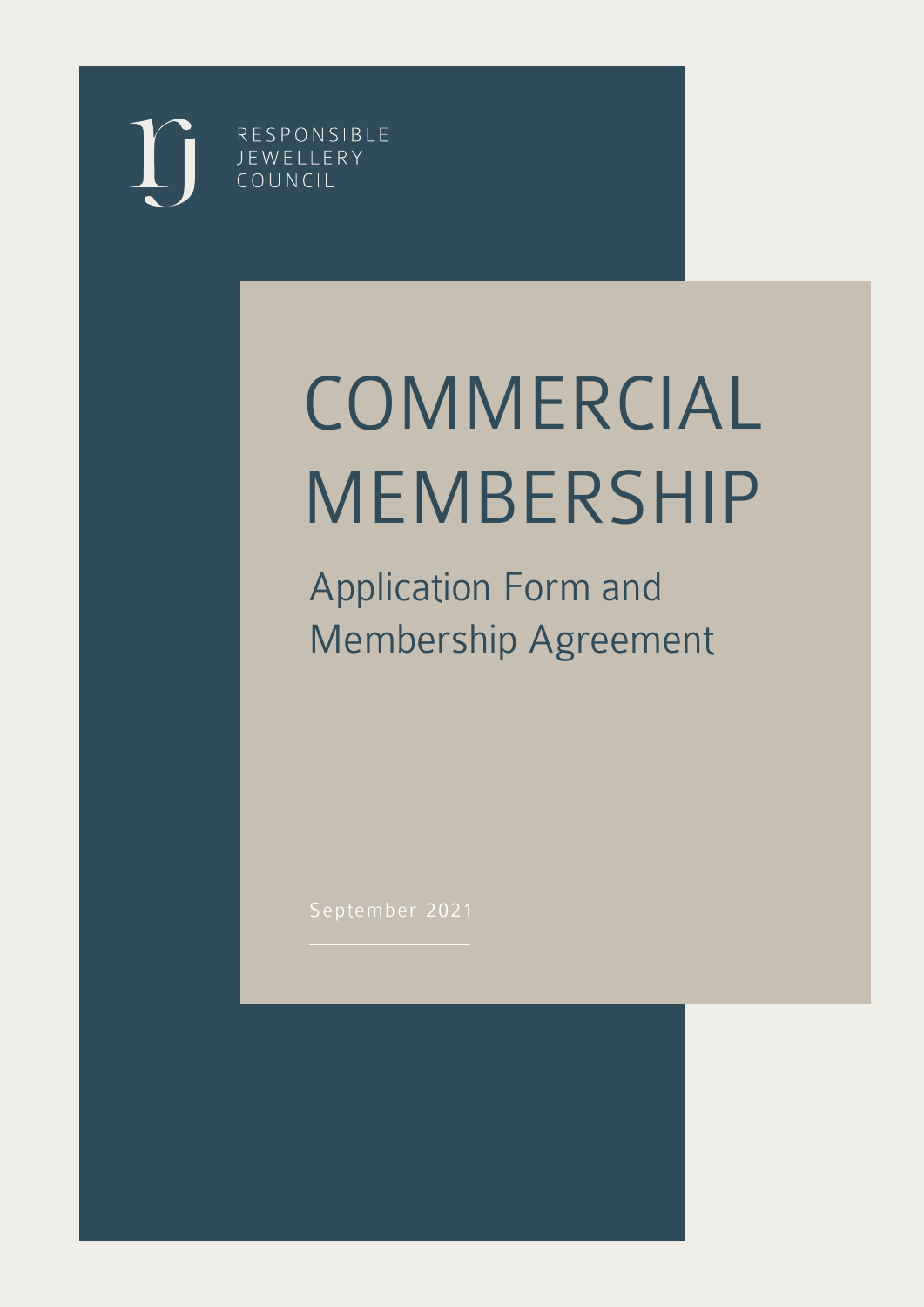RESPONSIBLE JEWELLERY COUNCIL

# COMMERCIAL MEMBERSHIP

Application Form and Membership Agreement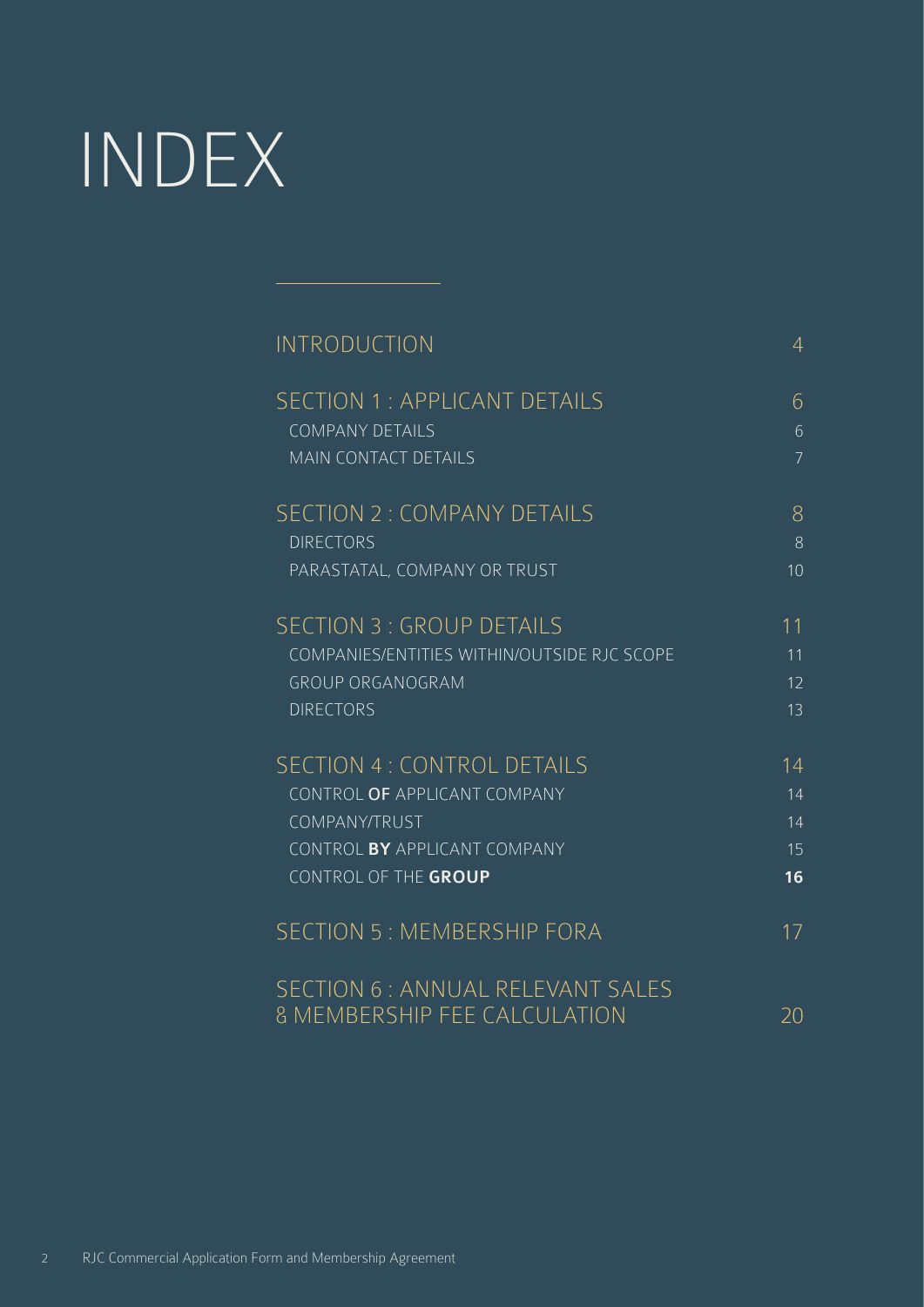# INDEX

| <b>INTRODUCTION</b>                         | $\overline{4}$   |
|---------------------------------------------|------------------|
| <b>SECTION 1: APPLICANT DETAILS</b>         | 6                |
| <b>COMPANY DETAILS</b>                      | $6 \overline{6}$ |
| <b>MAIN CONTACT DETAILS</b>                 | $\overline{7}$   |
| <b>SECTION 2: COMPANY DETAILS</b>           | 8                |
| <b>DIRECTORS</b>                            | 8                |
| PARASTATAL, COMPANY OR TRUST                | 10 <sup>1</sup>  |
| <b>SECTION 3: GROUP DETAILS</b>             | 11               |
| COMPANIES/ENTITIES WITHIN/OUTSIDE RJC SCOPE | 11               |
| <b>GROUP ORGANOGRAM</b>                     | 12               |
| <b>DIRECTORS</b>                            | 13               |
| <b>SECTION 4: CONTROL DETAILS</b>           | 14               |
| CONTROL OF APPLICANT COMPANY                | 14               |
| COMPANY/TRUST                               | 14               |
| CONTROL BY APPLICANT COMPANY                | 15               |
| CONTROL OF THE GROUP                        | 16               |
| <b>SECTION 5: MEMBERSHIP FORA</b>           | 17               |
| SECTION 6 : ANNUAL RELEVANT SALES           |                  |
| <b>&amp; MEMBERSHIP FEE CALCULATION</b>     | 20               |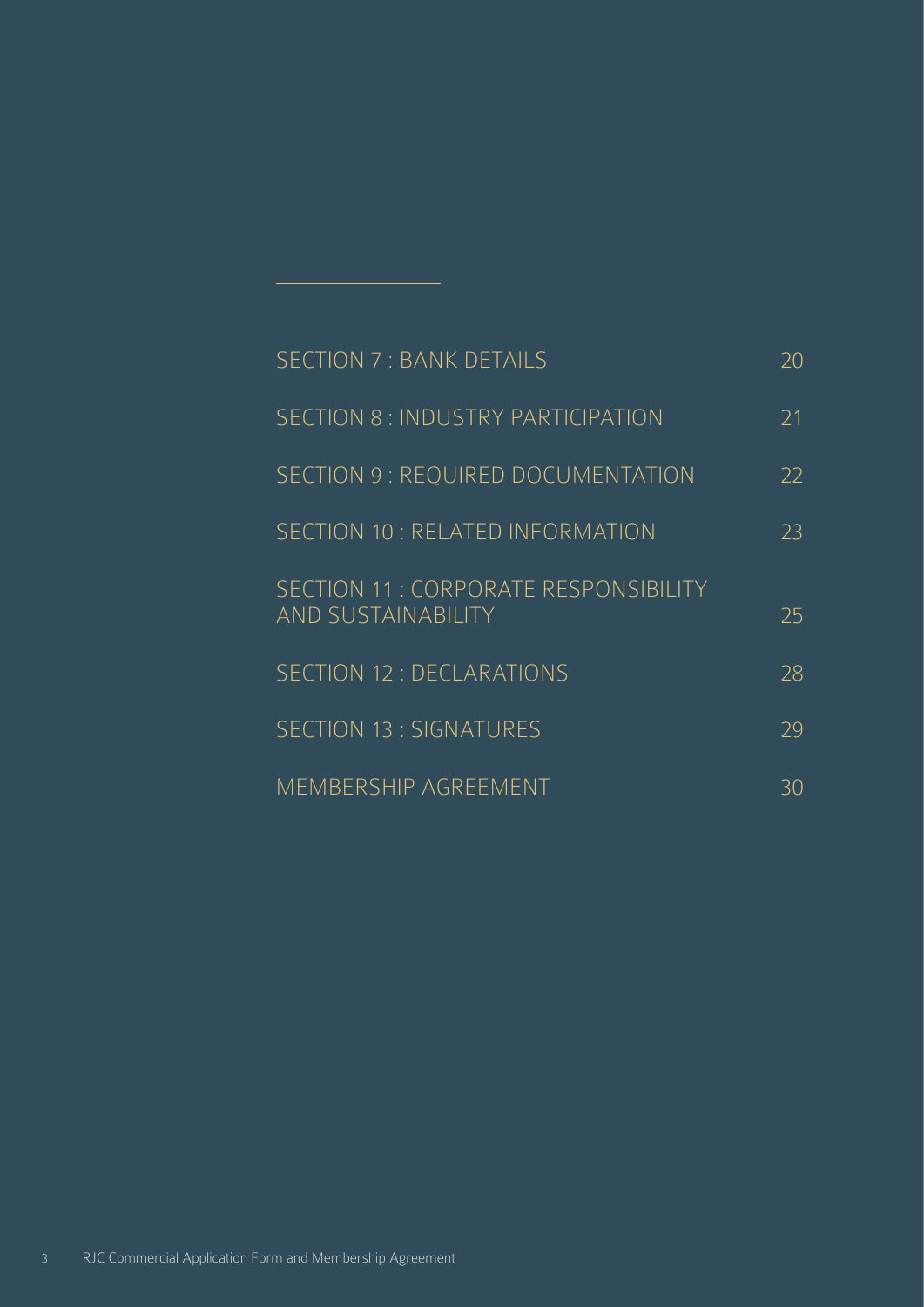| <b>SECTION 7: BANK DETAILS</b>                                     | 20 |
|--------------------------------------------------------------------|----|
| SECTION 8: INDUSTRY PARTICIPATION                                  | 21 |
| SECTION 9 : REQUIRED DOCUMENTATION                                 | 22 |
| SECTION 10 : RELATED INFORMATION                                   | 23 |
| SECTION 11 : CORPORATE RESPONSIBILITY<br><b>AND SUSTAINABILITY</b> | 25 |
| <b>SECTION 12 : DECLARATIONS</b>                                   | 28 |
| <b>SECTION 13: SIGNATURES</b>                                      | 29 |
| MEMBERSHIP AGREEMENT                                               | 30 |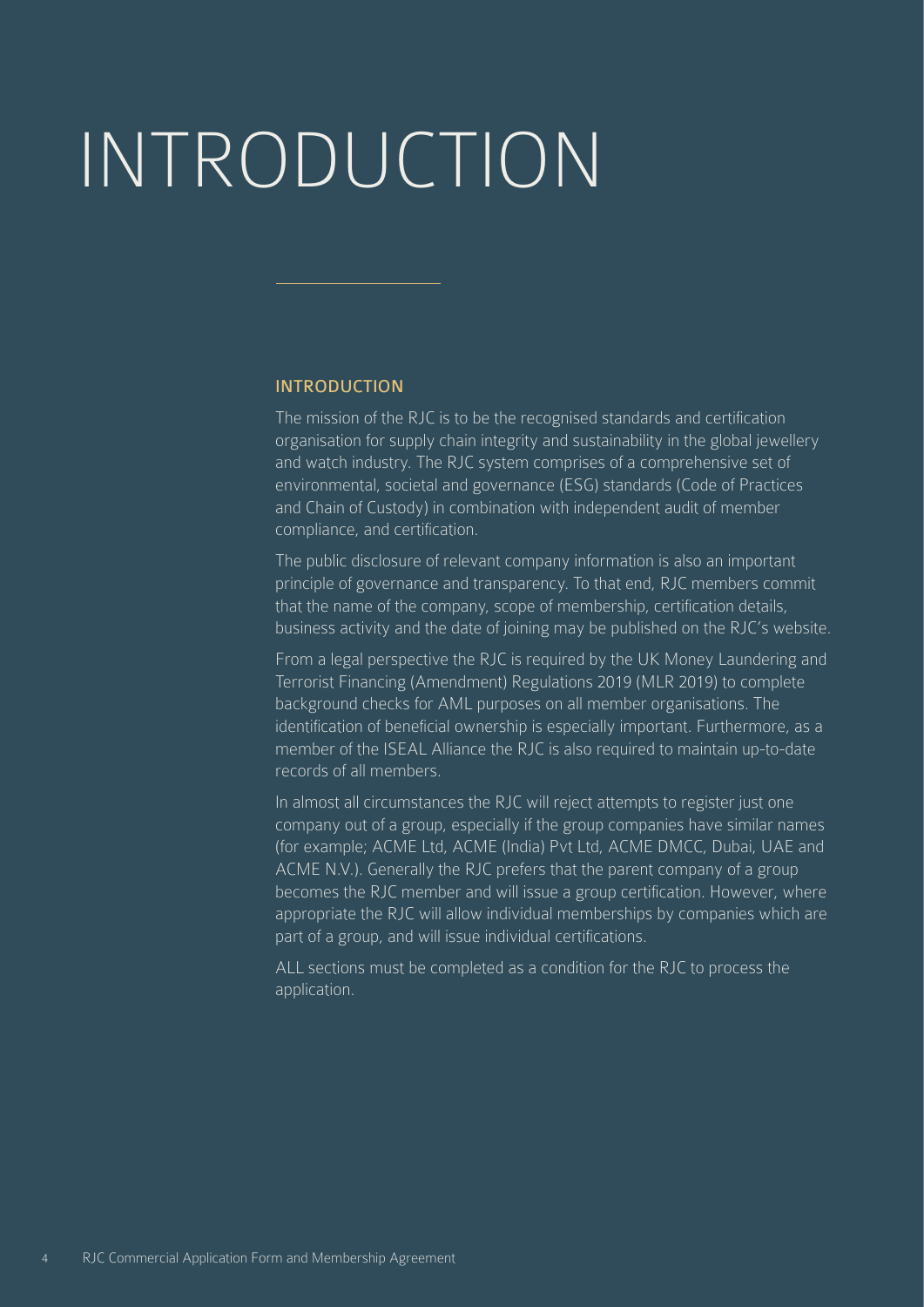# <span id="page-3-0"></span>INTRODUCTION

#### INTRODUCTION

The mission of the RJC is to be the recognised standards and certification organisation for supply chain integrity and sustainability in the global jewellery and watch industry. The RJC system comprises of a comprehensive set of environmental, societal and governance (ESG) standards (Code of Practices and Chain of Custody) in combination with independent audit of member compliance, and certification.

The public disclosure of relevant company information is also an important principle of governance and transparency. To that end, RJC members commit that the name of the company, scope of membership, certification details, business activity and the date of joining may be published on the RJC's website.

From a legal perspective the RJC is required by the UK Money Laundering and Terrorist Financing (Amendment) Regulations 2019 (MLR 2019) to complete background checks for AML purposes on all member organisations. The identification of beneficial ownership is especially important. Furthermore, as a member of the ISEAL Alliance the RJC is also required to maintain up-to-date records of all members.

In almost all circumstances the RJC will reject attempts to register just one company out of a group, especially if the group companies have similar names (for example; ACME Ltd, ACME (India) Pvt Ltd, ACME DMCC, Dubai, UAE and ACME N.V.). Generally the RJC prefers that the parent company of a group becomes the RJC member and will issue a group certification. However, where appropriate the RJC will allow individual memberships by companies which are part of a group, and will issue individual certifications.

ALL sections must be completed as a condition for the RJC to process the application.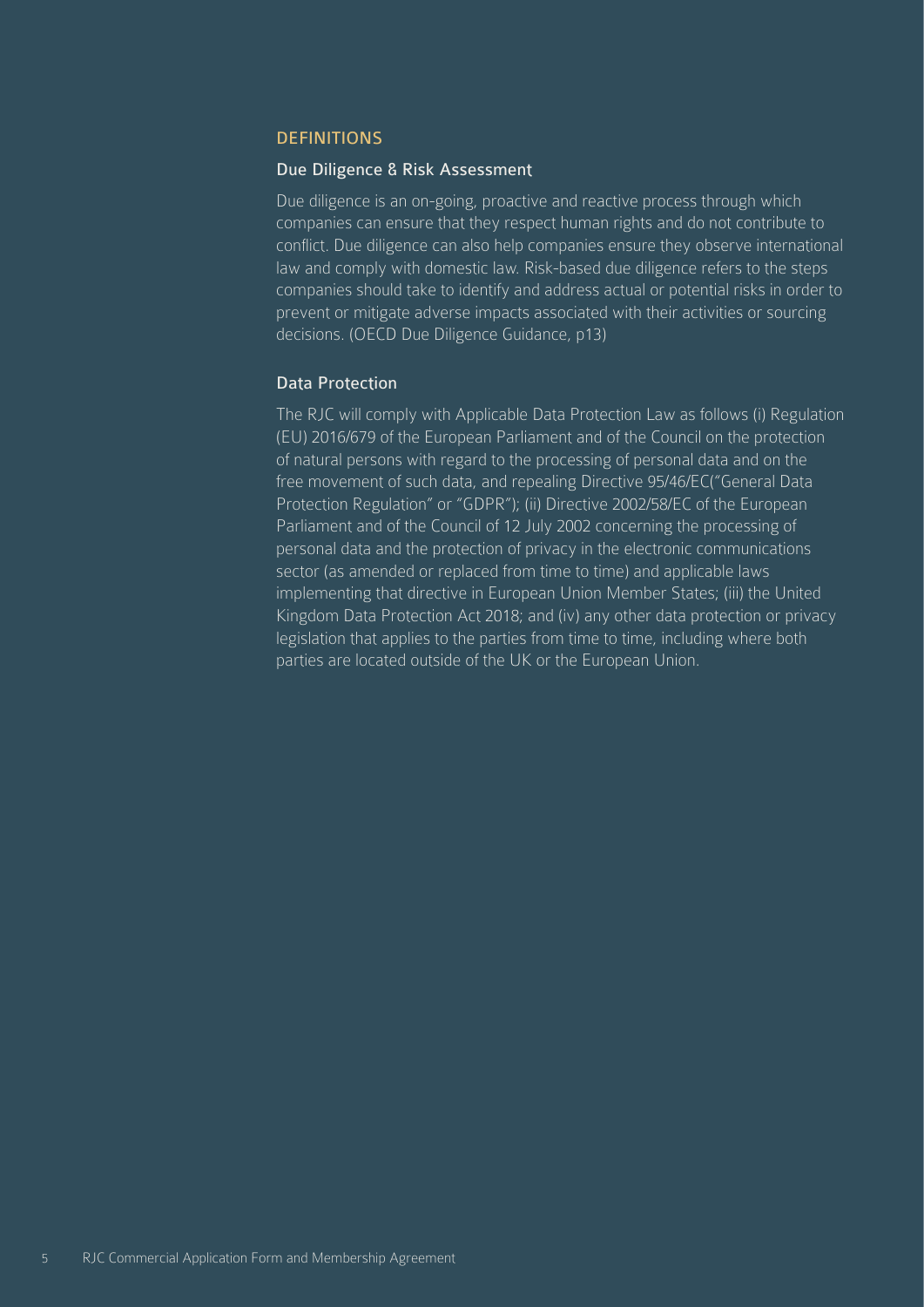#### DEFINITIONS

#### Due Diligence & Risk Assessment

Due diligence is an on-going, proactive and reactive process through which companies can ensure that they respect human rights and do not contribute to conflict. Due diligence can also help companies ensure they observe international law and comply with domestic law. Risk-based due diligence refers to the steps companies should take to identify and address actual or potential risks in order to prevent or mitigate adverse impacts associated with their activities or sourcing decisions. (OECD Due Diligence Guidance, p13)

#### Data Protection

The RJC will comply with Applicable Data Protection Law as follows (i) Regulation (EU) 2016/679 of the European Parliament and of the Council on the protection of natural persons with regard to the processing of personal data and on the free movement of such data, and repealing Directive 95/46/EC("General Data Protection Regulation" or "GDPR"); (ii) Directive 2002/58/EC of the European Parliament and of the Council of 12 July 2002 concerning the processing of personal data and the protection of privacy in the electronic communications sector (as amended or replaced from time to time) and applicable laws implementing that directive in European Union Member States; (iii) the United Kingdom Data Protection Act 2018; and (iv) any other data protection or privacy legislation that applies to the parties from time to time, including where both parties are located outside of the UK or the European Union.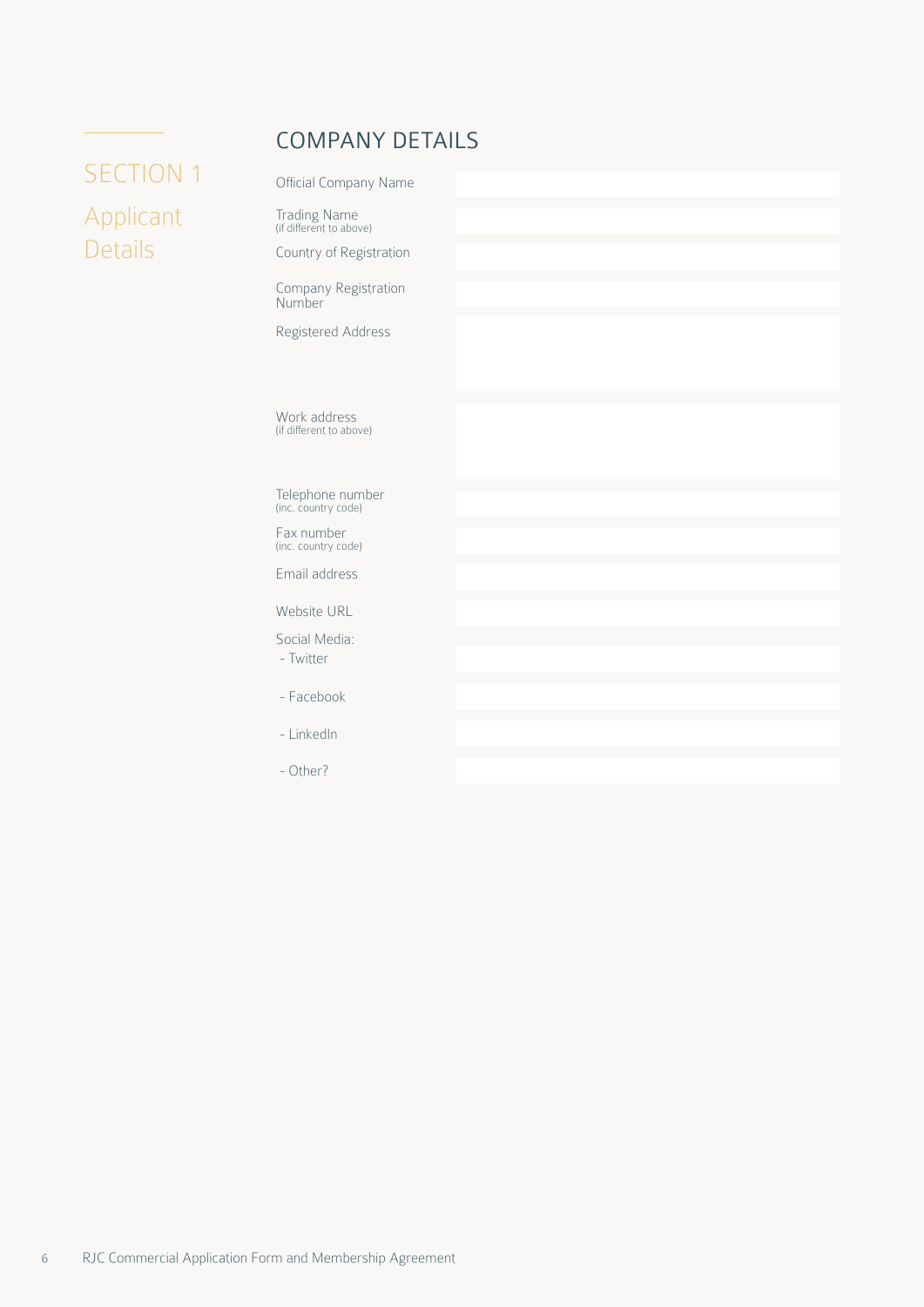## COMPANY DETAILS

# <span id="page-5-0"></span>SECTION 1 Applicant Details

| Official Company Name                   |  |
|-----------------------------------------|--|
| Trading Name<br>(if different to above) |  |
| Country of Registration                 |  |
| Company Registration<br>Number          |  |
| Registered Address                      |  |
|                                         |  |
|                                         |  |
| Work address<br>(if different to above) |  |
|                                         |  |
| Telephone number<br>(inc. country code) |  |
| Fax number<br>(inc. country code)       |  |
| Email address                           |  |
| Website URL                             |  |
| Social Media:                           |  |
| - Twitter                               |  |
| - Facebook                              |  |
| - LinkedIn                              |  |
| - Other?                                |  |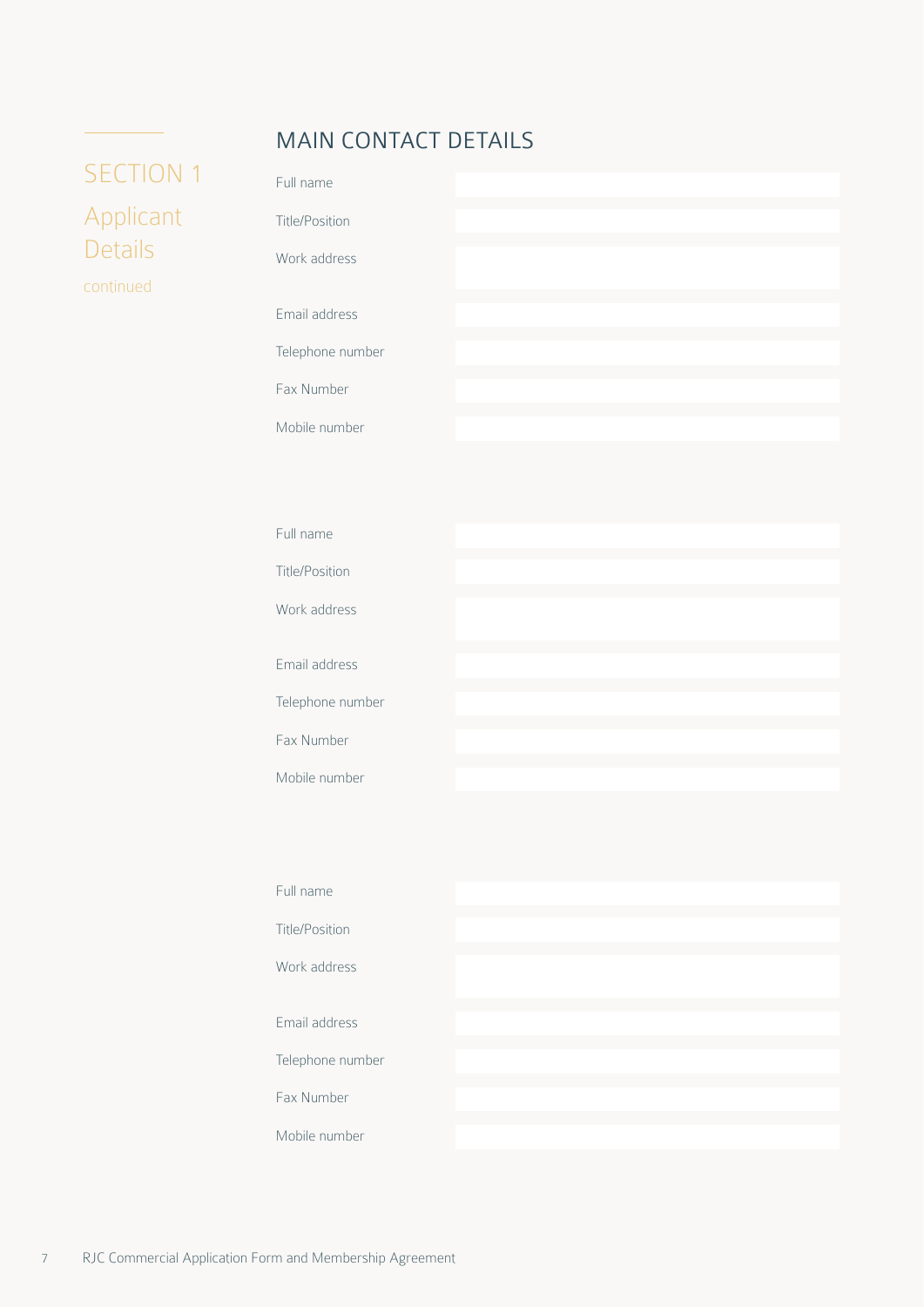## MAIN CONTACT DETAILS

# <span id="page-6-0"></span>SECTION 1 Applicant Details continued

| Full name             |  |  |
|-----------------------|--|--|
| <b>Title/Position</b> |  |  |
| Work address          |  |  |
| Email address         |  |  |
| Telephone number      |  |  |
| Fax Number            |  |  |
| Mobile number         |  |  |

| Full name            |  |  |
|----------------------|--|--|
| Title/Position       |  |  |
| Work address         |  |  |
| <b>Email address</b> |  |  |
| Telephone number     |  |  |
| Fax Number           |  |  |
| Mobile number        |  |  |

| Full name             |  |  |
|-----------------------|--|--|
| <b>Title/Position</b> |  |  |
| Work address          |  |  |
| Email address         |  |  |
| Telephone number      |  |  |
| Fax Number            |  |  |
| Mobile number         |  |  |
|                       |  |  |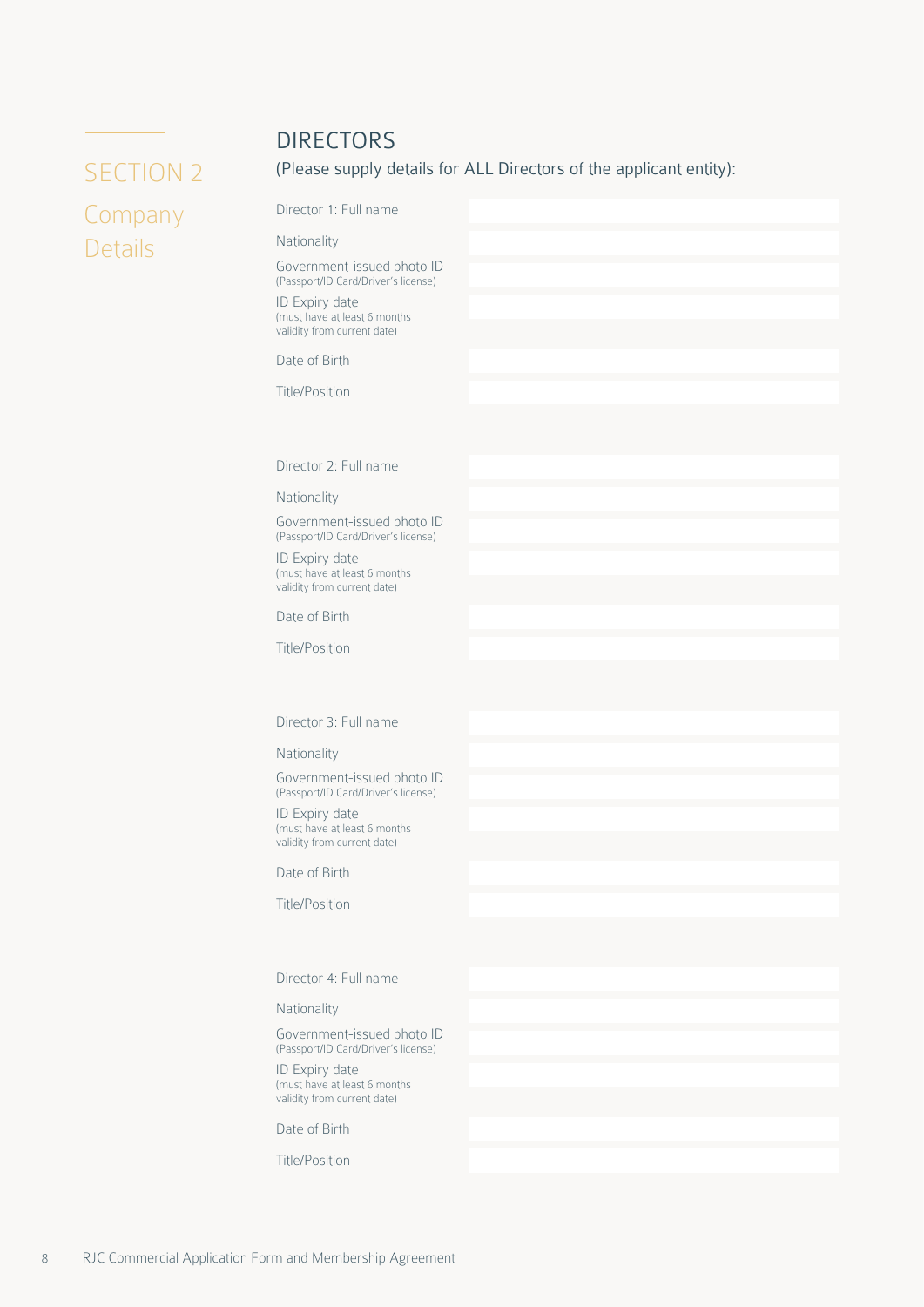## DIRECTORS

Director 1: Full name

# <span id="page-7-0"></span>SECTION 2 Company Details

(Please supply details for ALL Directors of the applicant entity):

Nationality Government-issued photo ID (Passport/ID Card/Driver's license)

ID Expiry date (must have at least 6 months validity from current date)

Date of Birth

Title/Position

Director 2: Full name

Nationality

Government-issued photo ID (Passport/ID Card/Driver's license)

ID Expiry date (must have at least 6 months validity from current date)

Date of Birth

Title/Position

Director 3: Full name

Nationality

Government-issued photo ID (Passport/ID Card/Driver's license)

ID Expiry date (must have at least 6 months validity from current date)

Date of Birth

Title/Position

Director 4: Full name

Nationality

Government-issued photo ID (Passport/ID Card/Driver's license)

ID Expiry date (must have at least 6 months validity from current date)

Date of Birth

Title/Position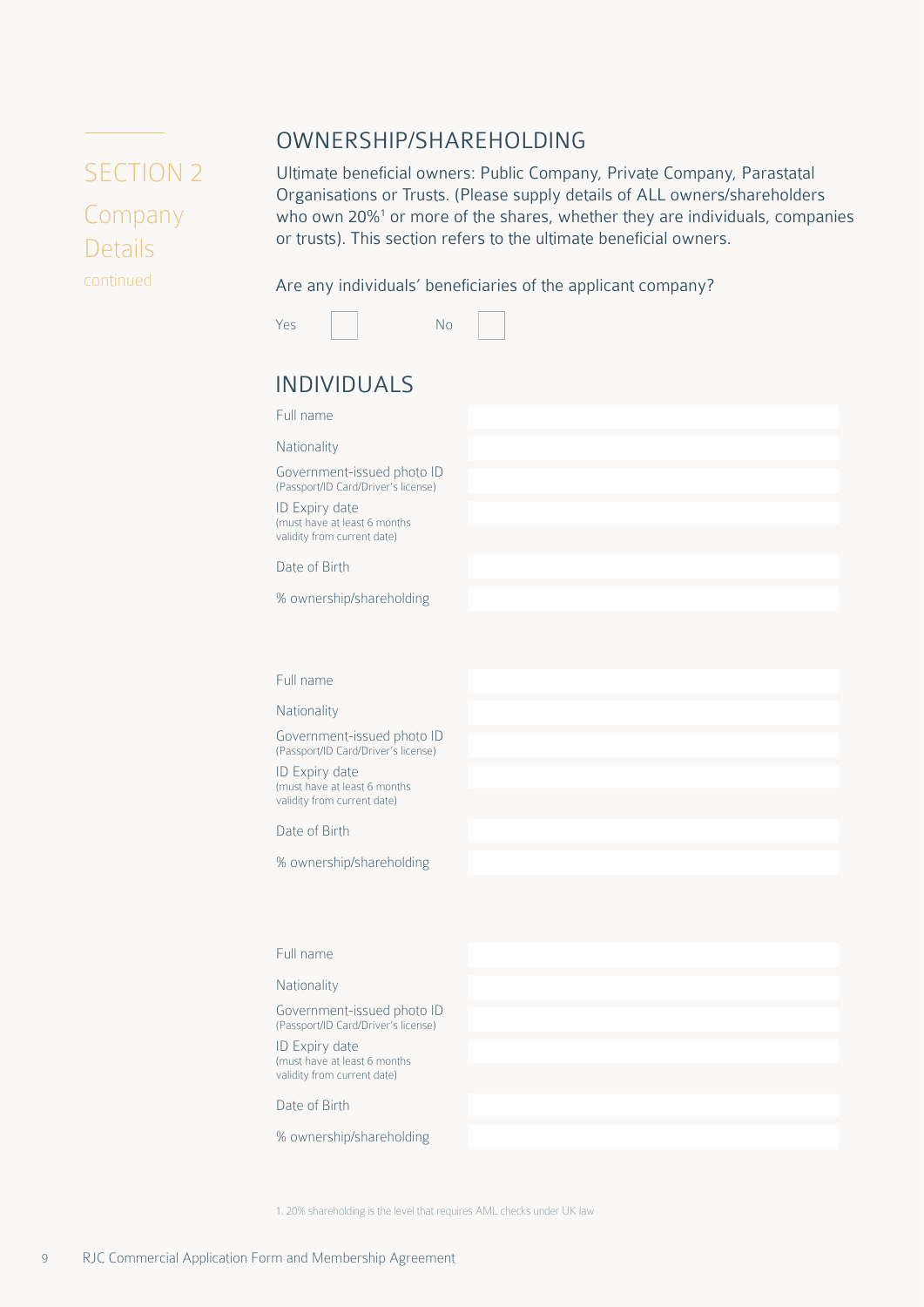# SECTION 2 Company

Details

continued

OWNERSHIP/SHAREHOLDING

Ultimate beneficial owners: Public Company, Private Company, Parastatal Organisations or Trusts. (Please supply details of ALL owners/shareholders who own 20%<sup>1</sup> or more of the shares, whether they are individuals, companies or trusts). This section refers to the ultimate beneficial owners.

Are any individuals' beneficiaries of the applicant company?

|                                                                                                                                                    | Are any individuals beneficiaries of the applicant company? |
|----------------------------------------------------------------------------------------------------------------------------------------------------|-------------------------------------------------------------|
| Yes<br>No                                                                                                                                          |                                                             |
| <b>INDIVIDUALS</b>                                                                                                                                 |                                                             |
| Full name                                                                                                                                          |                                                             |
| Nationality                                                                                                                                        |                                                             |
| Government-issued photo ID<br>(Passport/ID Card/Driver's license)<br>ID Expiry date<br>(must have at least 6 months<br>validity from current date) |                                                             |
| Date of Birth                                                                                                                                      |                                                             |
| % ownership/shareholding                                                                                                                           |                                                             |
| Full name                                                                                                                                          |                                                             |
| Nationality                                                                                                                                        |                                                             |
| Government-issued photo ID<br>(Passport/ID Card/Driver's license)                                                                                  |                                                             |
| ID Expiry date<br>(must have at least 6 months<br>validity from current date)                                                                      |                                                             |
| Date of Birth                                                                                                                                      |                                                             |
|                                                                                                                                                    |                                                             |

Full name

Nationality

Government-issued photo ID (Passport/ID Card/Driver's license)

ID Expiry date (must have at least 6 months validity from current date)

Date of Birth

% ownership/shareholding

1. 20% shareholding is the level that requires AML checks under UK law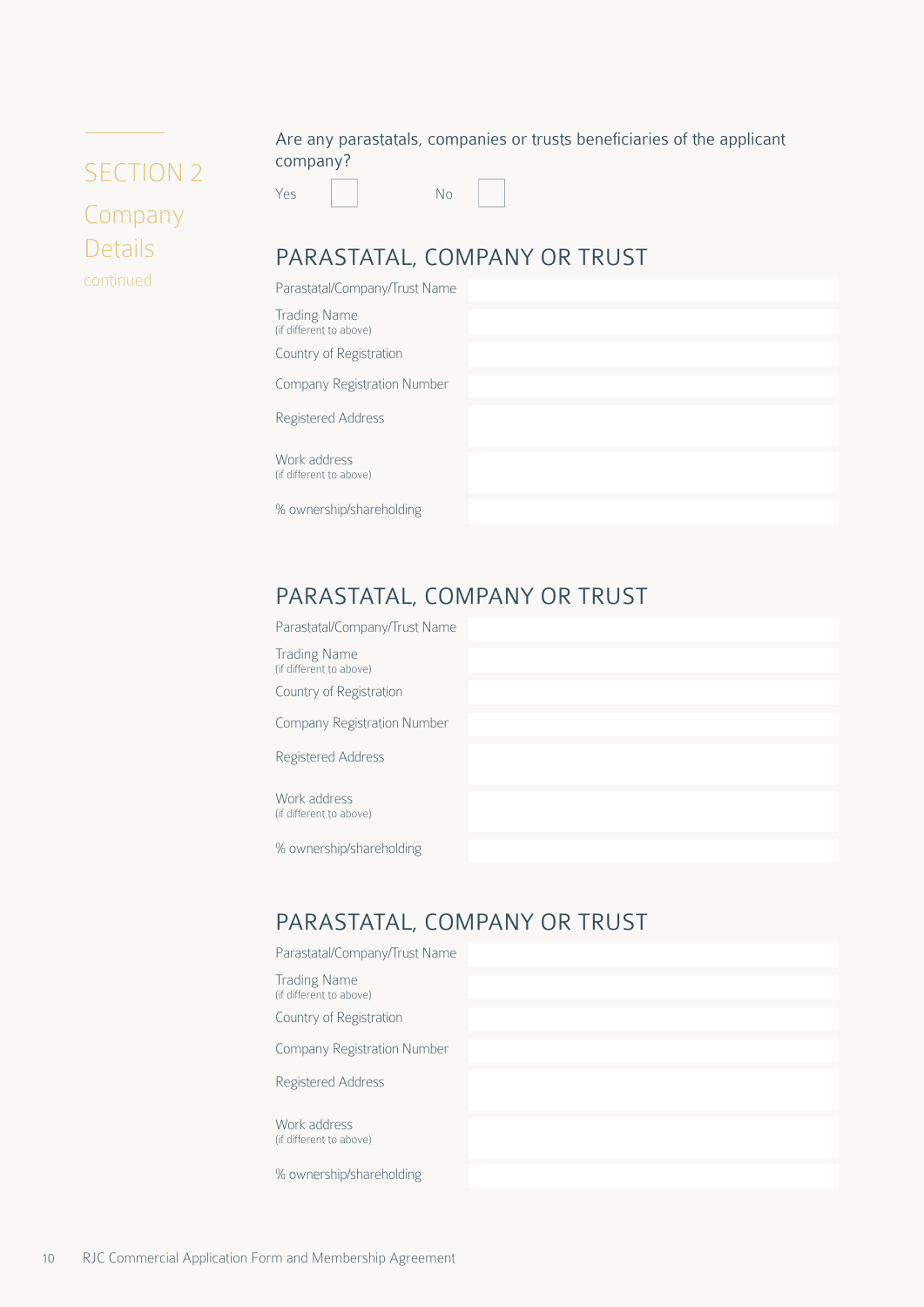# <span id="page-9-0"></span>SECTION 2 Company Details continued

Are any parastatals, companies or trusts beneficiaries of the applicant company?

Yes No



## PARASTATAL, COMPANY OR TRUST

| Parastatal/Company/Trust Name                  |  |  |
|------------------------------------------------|--|--|
| <b>Trading Name</b><br>(if different to above) |  |  |
| Country of Registration                        |  |  |
| Company Registration Number                    |  |  |
| Registered Address                             |  |  |
| Work address<br>(if different to above)        |  |  |
| % ownership/shareholding                       |  |  |

## PARASTATAL, COMPANY OR TRUST

| Parastatal/Company/Trust Name                  |  |  |
|------------------------------------------------|--|--|
| <b>Trading Name</b><br>(if different to above) |  |  |
| Country of Registration                        |  |  |
| Company Registration Number                    |  |  |
| Registered Address                             |  |  |
|                                                |  |  |
| Work address<br>(if different to above)        |  |  |
|                                                |  |  |
| % ownership/shareholding                       |  |  |
|                                                |  |  |

## PARASTATAL, COMPANY OR TRUST

| Parastatal/Company/Trust Name                  |  |  |
|------------------------------------------------|--|--|
| <b>Trading Name</b><br>(if different to above) |  |  |
| Country of Registration                        |  |  |
| Company Registration Number                    |  |  |
| Registered Address                             |  |  |
| Work address<br>(if different to above)        |  |  |
| % ownership/shareholding                       |  |  |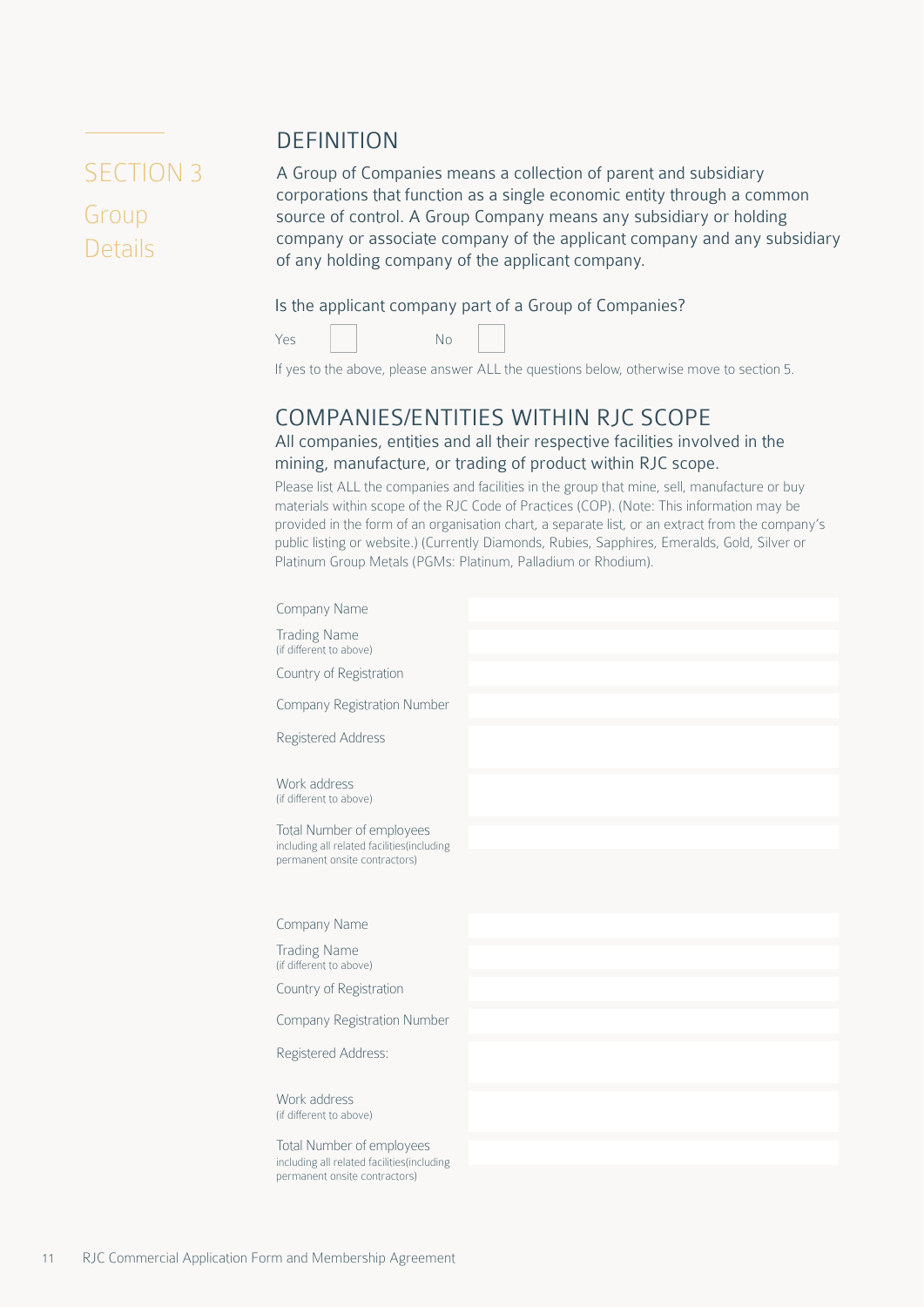# <span id="page-10-0"></span>SECTION 3 Group

Details

A Group of Companies means a collection of parent and subsidiary corporations that function as a single economic entity through a common source of control. A Group Company means any subsidiary or holding company or associate company of the applicant company and any subsidiary of any holding company of the applicant company.

#### Is the applicant company part of a Group of Companies?



DEFINITION



If yes to the above, please answer ALL the questions below, otherwise move to section 5.

### COMPANIES/ENTITIES WITHIN RJC SCOPE

All companies, entities and all their respective facilities involved in the mining, manufacture, or trading of product within RJC scope.

Please list ALL the companies and facilities in the group that mine, sell, manufacture or buy materials within scope of the RJC Code of Practices (COP). (Note: This information may be provided in the form of an organisation chart, a separate list, or an extract from the company's public listing or website.) (Currently Diamonds, Rubies, Sapphires, Emeralds, Gold, Silver or Platinum Group Metals (PGMs: Platinum, Palladium or Rhodium).

| Company Name                                                                                             |  |
|----------------------------------------------------------------------------------------------------------|--|
| <b>Trading Name</b><br>(if different to above)                                                           |  |
| Country of Registration                                                                                  |  |
| <b>Company Registration Number</b>                                                                       |  |
| Registered Address                                                                                       |  |
| Work address<br>(if different to above)                                                                  |  |
| Total Number of employees<br>including all related facilities(including<br>permanent onsite contractors) |  |
| Company Name                                                                                             |  |
| <b>Trading Name</b><br>(if different to above)                                                           |  |
| Country of Registration                                                                                  |  |
| <b>Company Registration Number</b>                                                                       |  |
| Registered Address:                                                                                      |  |
| Work address<br>(if different to above)                                                                  |  |
| Total Number of employees<br>including all related facilities(including<br>permanent onsite contractors) |  |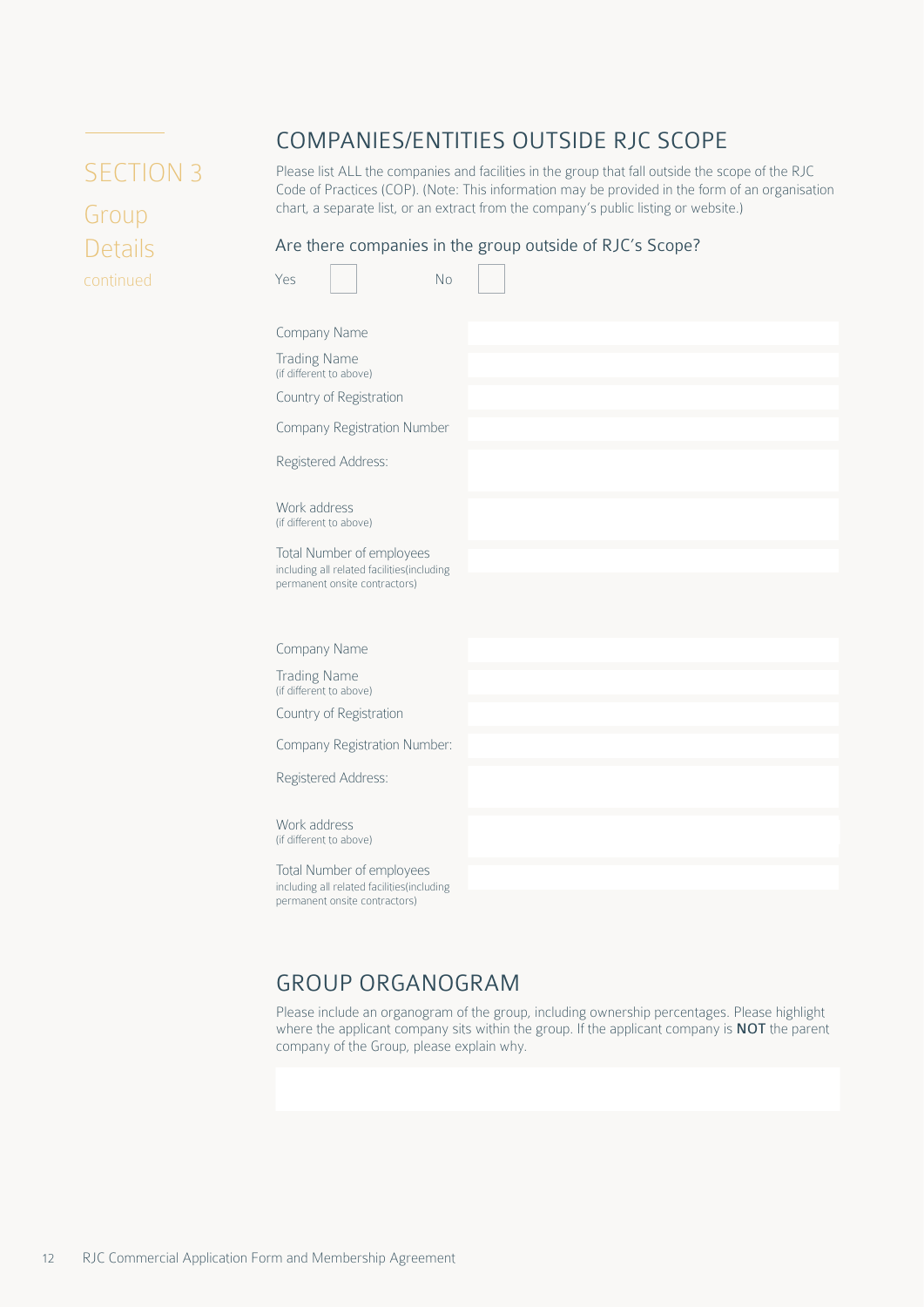# <span id="page-11-0"></span>SECTION 3

Group Details continued

## COMPANIES/ENTITIES OUTSIDE RJC SCOPE

Please list ALL the companies and facilities in the group that fall outside the scope of the RJC Code of Practices (COP). (Note: This information may be provided in the form of an organisation chart, a separate list, or an extract from the company's public listing or website.)

#### Are there companies in the group outside of RJC's Scope?

| Company Name<br><b>Trading Name</b><br>(if different to above)<br>Country of Registration<br>Company Registration Number<br>Registered Address:<br>Work address<br>(if different to above)<br>Total Number of employees<br>including all related facilities(including<br>permanent onsite contractors)<br>Company Name<br><b>Trading Name</b><br>(if different to above)<br>Country of Registration<br>Company Registration Number:<br>Registered Address:<br>Work address<br>(if different to above)<br>Total Number of employees<br>including all related facilities(including | Yes | <b>No</b> |  |  |
|----------------------------------------------------------------------------------------------------------------------------------------------------------------------------------------------------------------------------------------------------------------------------------------------------------------------------------------------------------------------------------------------------------------------------------------------------------------------------------------------------------------------------------------------------------------------------------|-----|-----------|--|--|
|                                                                                                                                                                                                                                                                                                                                                                                                                                                                                                                                                                                  |     |           |  |  |
|                                                                                                                                                                                                                                                                                                                                                                                                                                                                                                                                                                                  |     |           |  |  |
|                                                                                                                                                                                                                                                                                                                                                                                                                                                                                                                                                                                  |     |           |  |  |
|                                                                                                                                                                                                                                                                                                                                                                                                                                                                                                                                                                                  |     |           |  |  |
|                                                                                                                                                                                                                                                                                                                                                                                                                                                                                                                                                                                  |     |           |  |  |
|                                                                                                                                                                                                                                                                                                                                                                                                                                                                                                                                                                                  |     |           |  |  |
|                                                                                                                                                                                                                                                                                                                                                                                                                                                                                                                                                                                  |     |           |  |  |
|                                                                                                                                                                                                                                                                                                                                                                                                                                                                                                                                                                                  |     |           |  |  |
|                                                                                                                                                                                                                                                                                                                                                                                                                                                                                                                                                                                  |     |           |  |  |
|                                                                                                                                                                                                                                                                                                                                                                                                                                                                                                                                                                                  |     |           |  |  |
|                                                                                                                                                                                                                                                                                                                                                                                                                                                                                                                                                                                  |     |           |  |  |
|                                                                                                                                                                                                                                                                                                                                                                                                                                                                                                                                                                                  |     |           |  |  |
|                                                                                                                                                                                                                                                                                                                                                                                                                                                                                                                                                                                  |     |           |  |  |
|                                                                                                                                                                                                                                                                                                                                                                                                                                                                                                                                                                                  |     |           |  |  |
|                                                                                                                                                                                                                                                                                                                                                                                                                                                                                                                                                                                  |     |           |  |  |
|                                                                                                                                                                                                                                                                                                                                                                                                                                                                                                                                                                                  |     |           |  |  |
|                                                                                                                                                                                                                                                                                                                                                                                                                                                                                                                                                                                  |     |           |  |  |
|                                                                                                                                                                                                                                                                                                                                                                                                                                                                                                                                                                                  |     |           |  |  |
| permanent onsite contractors)                                                                                                                                                                                                                                                                                                                                                                                                                                                                                                                                                    |     |           |  |  |

### GROUP ORGANOGRAM

Please include an organogram of the group, including ownership percentages. Please highlight where the applicant company sits within the group. If the applicant company is **NOT** the parent company of the Group, please explain why.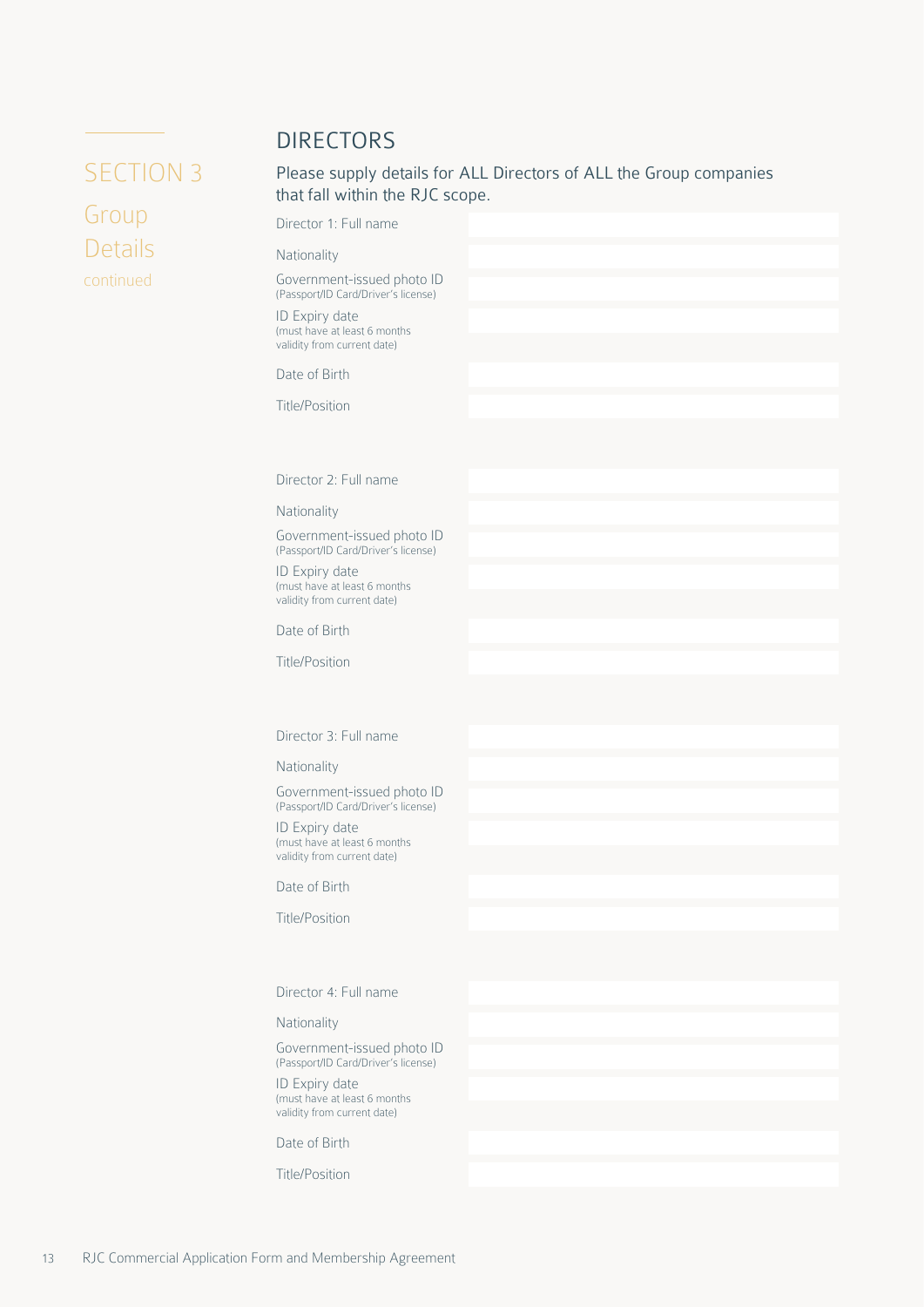### DIRECTORS

## <span id="page-12-0"></span>SECTION 3

Group Details continued Please supply details for ALL Directors of ALL the Group companies that fall within the RJC scope.

Director 1: Full name

#### Nationality

Government-issued photo ID (Passport/ID Card/Driver's license)

ID Expiry date (must have at least 6 months validity from current date)

Date of Birth

Title/Position

Director 2: Full name

Nationality

Government-issued photo ID (Passport/ID Card/Driver's license)

ID Expiry date (must have at least 6 months validity from current date)

Date of Birth

Title/Position

Director 3: Full name

Nationality

Government-issued photo ID (Passport/ID Card/Driver's license)

ID Expiry date (must have at least 6 months validity from current date)

Date of Birth

Title/Position

Director 4: Full name

Nationality

Government-issued photo ID (Passport/ID Card/Driver's license)

ID Expiry date (must have at least 6 months validity from current date)

Date of Birth

Title/Position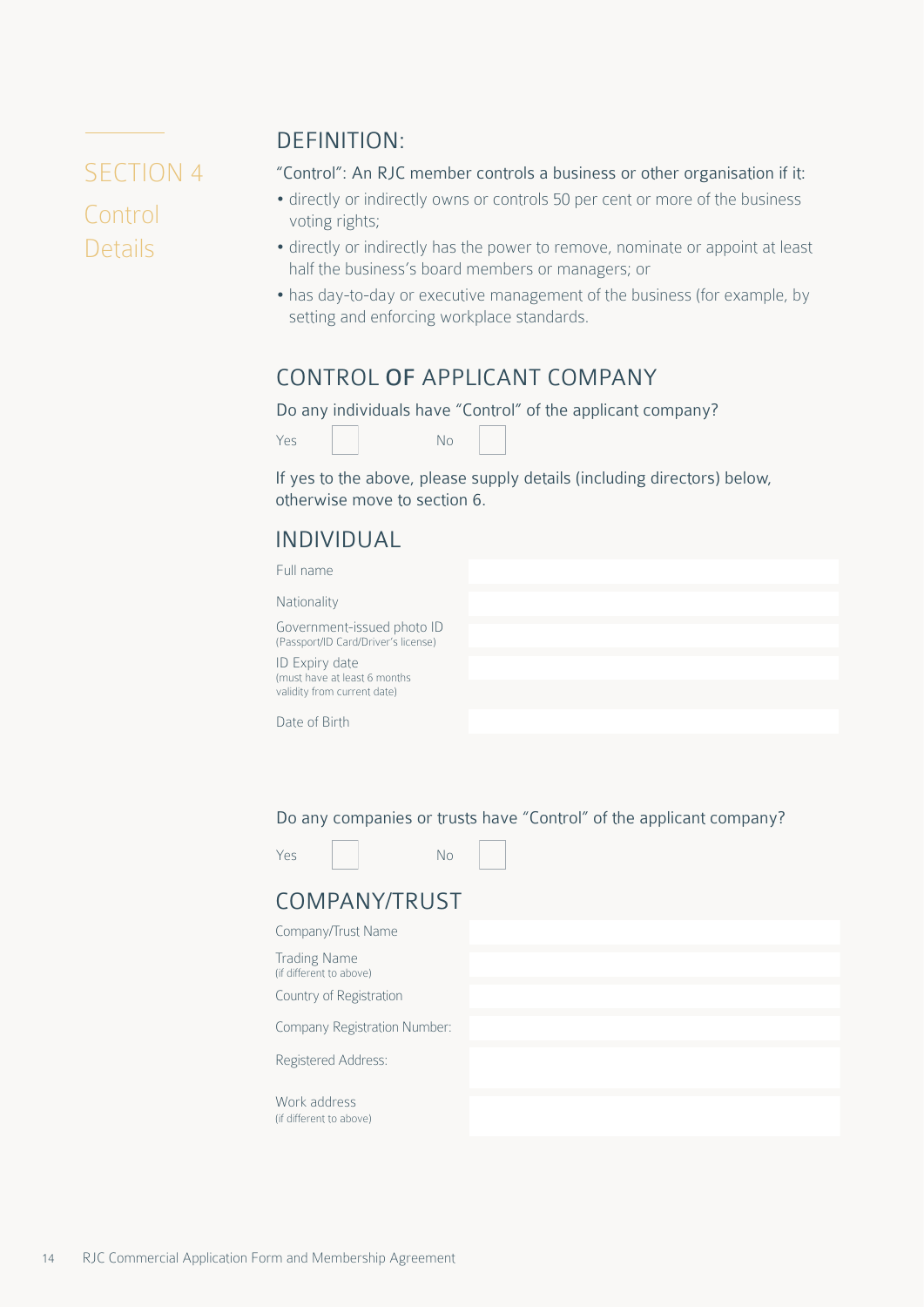# <span id="page-13-0"></span>SECTION 4 Control Details

## DEFINITION:

"Control": An RJC member controls a business or other organisation if it:

- directly or indirectly owns or controls 50 per cent or more of the business voting rights;
- directly or indirectly has the power to remove, nominate or appoint at least half the business's board members or managers; or
- has day-to-day or executive management of the business (for example, by setting and enforcing workplace standards.

### CONTROL OF APPLICANT COMPANY

Do any individuals have "Control" of the applicant company?

If yes to the above, please supply details (including directors) below, otherwise move to section 6.

## INDIVIDUAL

| Full name                                                                      |  |
|--------------------------------------------------------------------------------|--|
| Nationality                                                                    |  |
| Government-issued photo ID<br>(Passport/ID Card/Driver's license)              |  |
| ID Expiry date<br>(must have at least 6 months)<br>validity from current date) |  |
| Date of Birth                                                                  |  |

Do any companies or trusts have "Control" of the applicant company?

| Yes |  | No |
|-----|--|----|
|     |  |    |

## COMPANY/TRUST

| Company/Trust Name                             |  |
|------------------------------------------------|--|
| <b>Trading Name</b><br>(if different to above) |  |
| Country of Registration                        |  |
| Company Registration Number:                   |  |
| Registered Address:                            |  |
| Work address<br>(if different to above)        |  |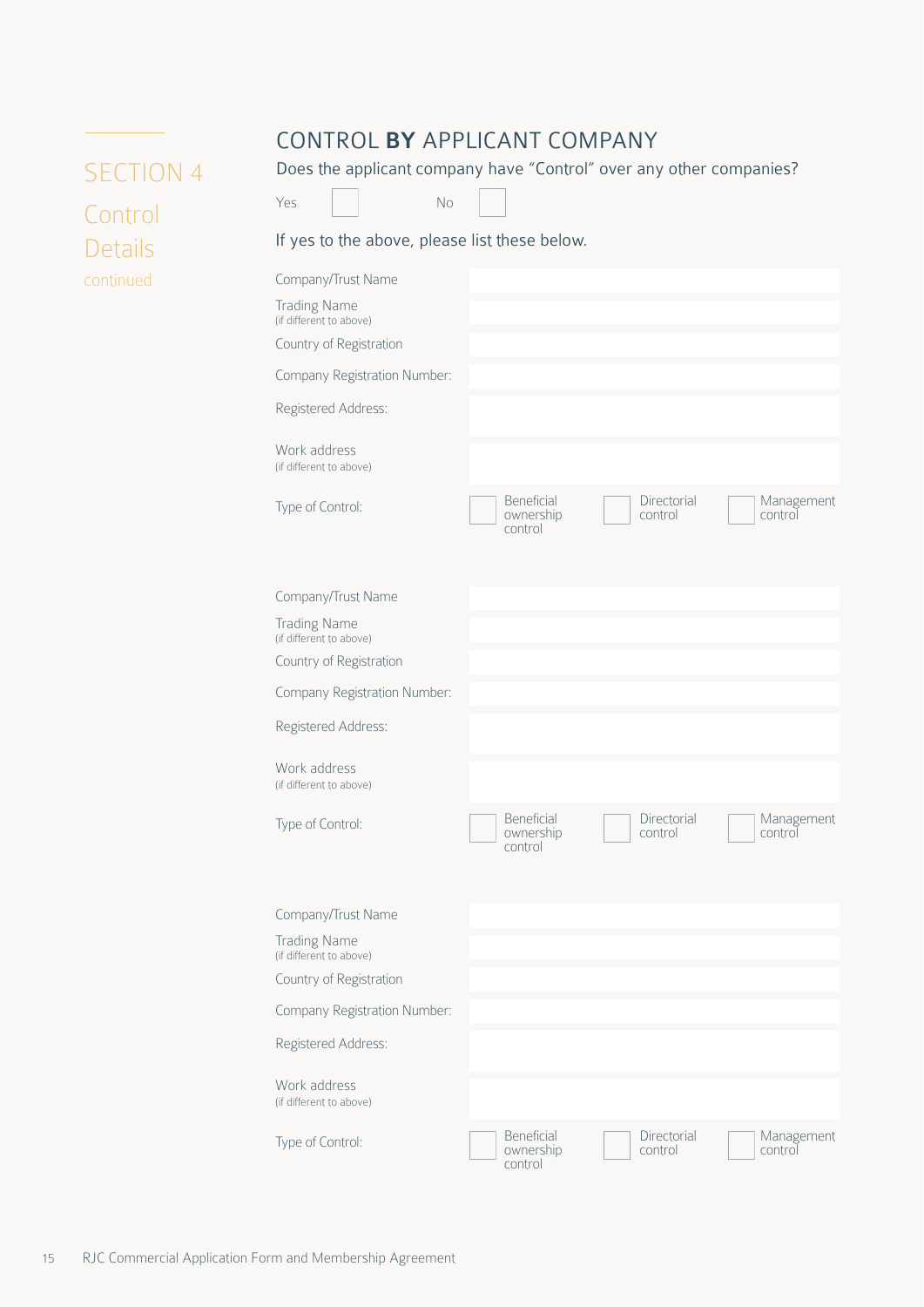## CONTROL BY APPLICANT COMPANY

<span id="page-14-0"></span>SECTION 4 Control Details continued

Does the applicant company have "Control" over any other companies?



If yes to the above, please list these below.

| Company/Trust Name                             |                                    |                        |                       |
|------------------------------------------------|------------------------------------|------------------------|-----------------------|
| <b>Trading Name</b><br>(if different to above) |                                    |                        |                       |
| Country of Registration                        |                                    |                        |                       |
| Company Registration Number:                   |                                    |                        |                       |
| Registered Address:                            |                                    |                        |                       |
| Work address<br>(if different to above)        |                                    |                        |                       |
| Type of Control:                               | Beneficial<br>ownership<br>control | Directorial<br>control | Management<br>control |
| Company/Trust Name                             |                                    |                        |                       |
| <b>Trading Name</b><br>(if different to above) |                                    |                        |                       |
| Country of Registration                        |                                    |                        |                       |
| Company Registration Number:                   |                                    |                        |                       |
| Registered Address:                            |                                    |                        |                       |
| Work address<br>(if different to above)        |                                    |                        |                       |
| Type of Control:                               | Beneficial<br>ownership<br>control | Directorial<br>control | Management<br>control |
| Company/Trust Name                             |                                    |                        |                       |
| <b>Trading Name</b><br>(if different to above) |                                    |                        |                       |
| Country of Registration                        |                                    |                        |                       |
| Company Registration Number:                   |                                    |                        |                       |
| Registered Address:                            |                                    |                        |                       |
| Work address<br>(if different to above)        |                                    |                        |                       |
| Type of Control:                               | Beneficial<br>ownership<br>control | Directorial<br>control | Management<br>control |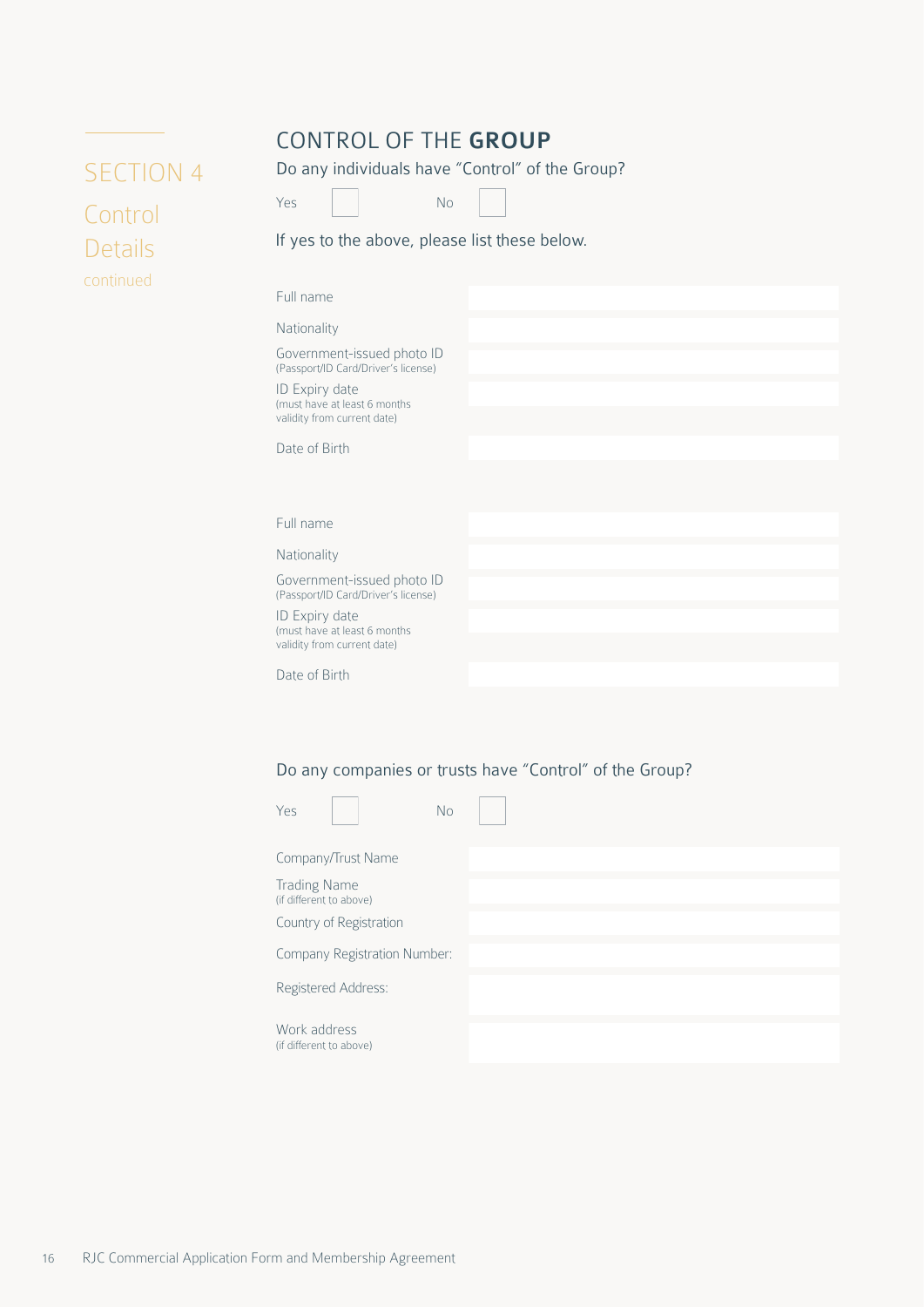## CONTROL OF THE GROUP

Do any individuals have "Control" of the Group?

<span id="page-15-0"></span>

## Yes No

If yes to the above, please list these below.

| Full name                                                         |  |  |
|-------------------------------------------------------------------|--|--|
| Nationality                                                       |  |  |
| Government-issued photo ID<br>(Passport/ID Card/Driver's license) |  |  |
| ID Expiry date<br>(must have at least 6 months                    |  |  |
| validity from current date)                                       |  |  |
| Date of Birth                                                     |  |  |
|                                                                   |  |  |
|                                                                   |  |  |
| Full name                                                         |  |  |
| Nationality                                                       |  |  |
| Government-issued photo ID<br>(Passport/ID Card/Driver's license) |  |  |
| ID Expiry date                                                    |  |  |
| (must have at least 6 months<br>validity from current date)       |  |  |
| Date of Birth                                                     |  |  |
|                                                                   |  |  |

#### Do any companies or trusts have "Control" of the Group?

| Yes<br>No                               |  |
|-----------------------------------------|--|
| Company/Trust Name                      |  |
| Trading Name<br>(if different to above) |  |
| Country of Registration                 |  |
| Company Registration Number:            |  |
| Registered Address:                     |  |
| Work address<br>(if different to above) |  |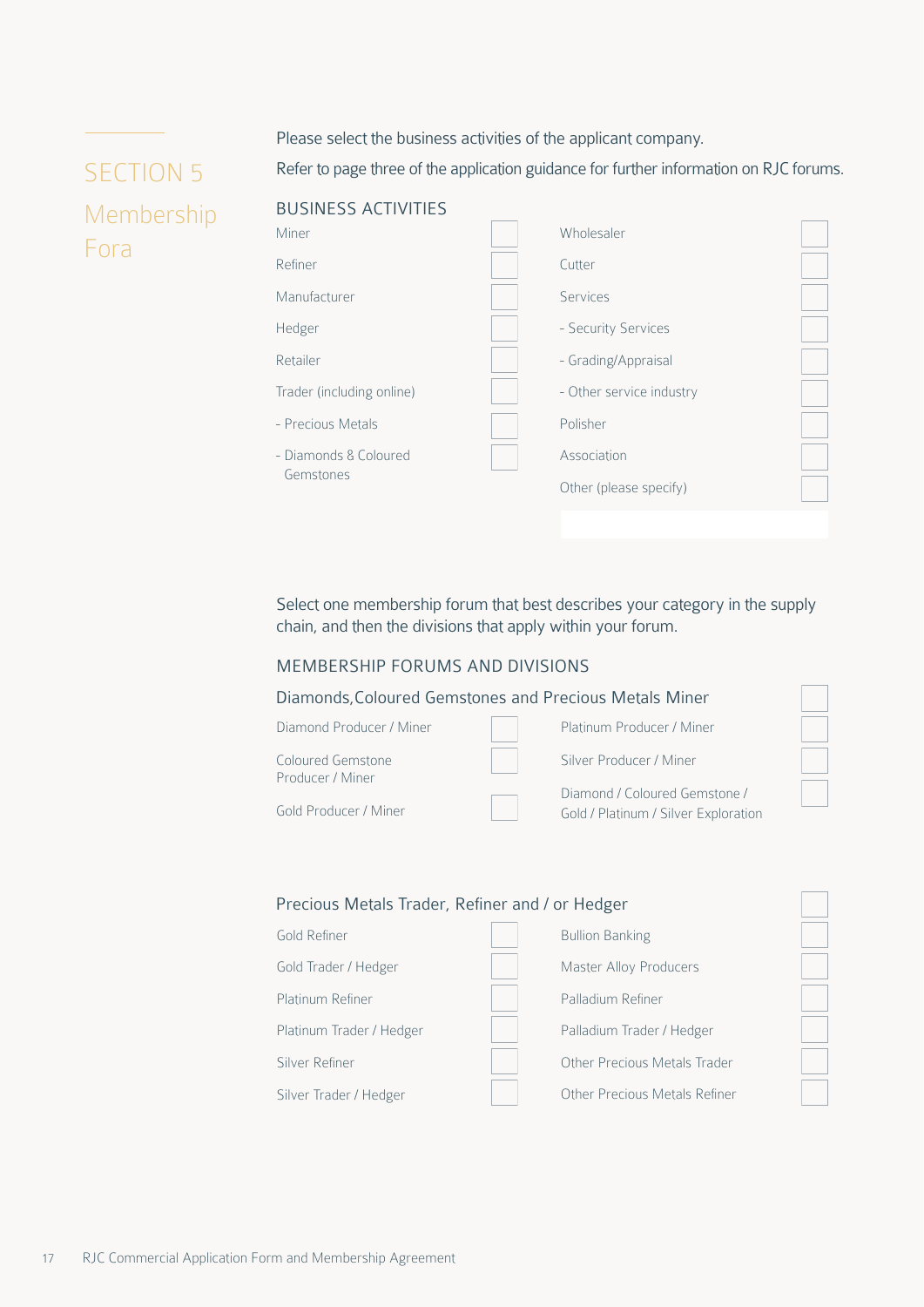#### Please select the business activities of the applicant company.

## <span id="page-16-0"></span>SECTION 5 Membership Fora

Refer to page three of the application guidance for further information on RJC forums.

#### BUSINESS ACTIVITIES



Select one membership forum that best describes your category in the supply chain, and then the divisions that apply within your forum.

#### MEMBERSHIP FORUMS AND DIVISIONS



#### Gold Refiner Gold Trader / Hedger Platinum Refiner Platinum Trader / Hedger Silver Refiner Silver Trader / Hedger Bullion Banking Master Alloy Producers Palladium Refiner Palladium Trader / Hedger Other Precious Metals Trader Other Precious Metals Refiner Precious Metals Trader, Refiner and / or Hedger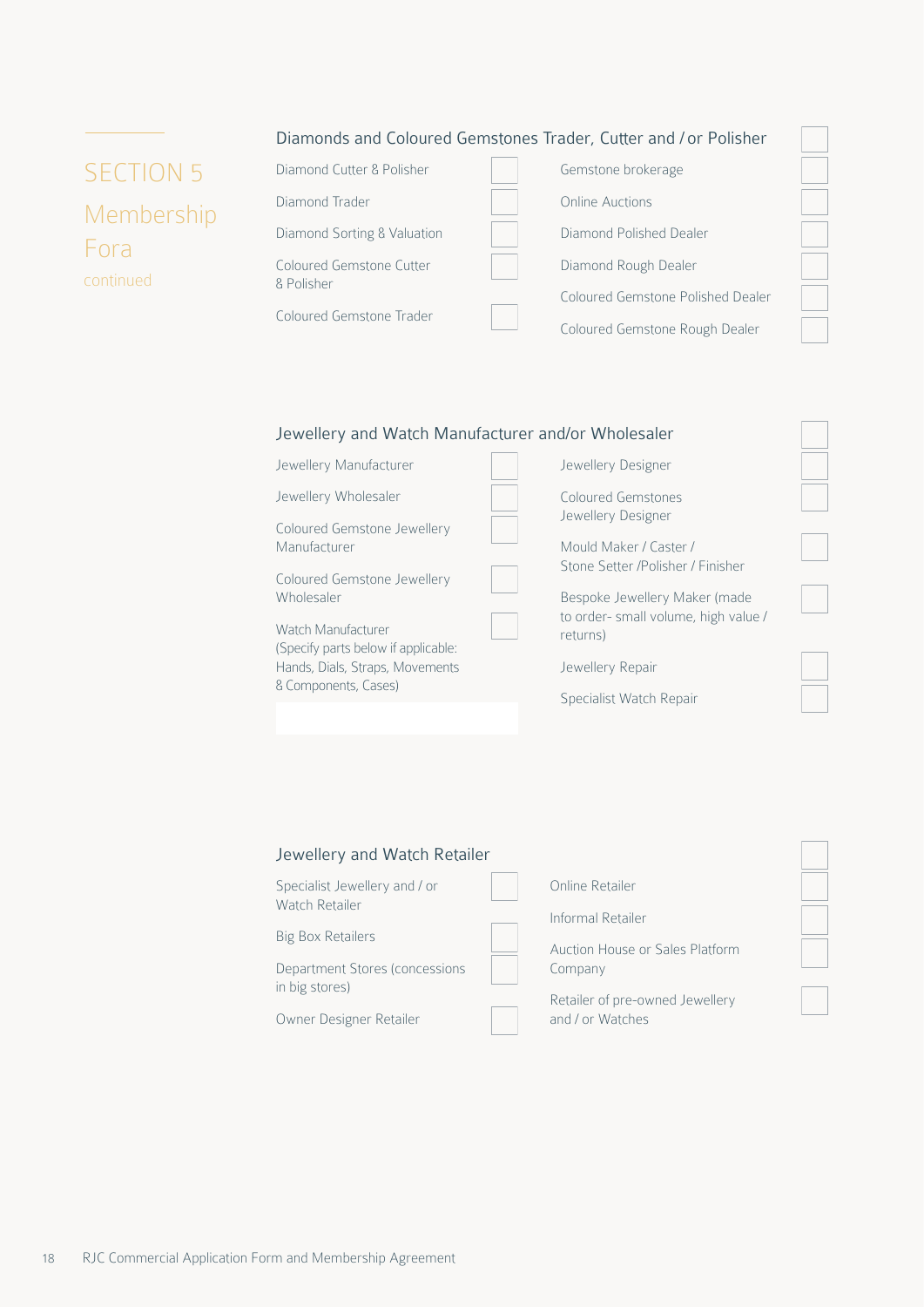|  | Diamonds and Coloured Gemstones Trader, Cutter and / or Polisher |  |  |  |  |  |  |  |
|--|------------------------------------------------------------------|--|--|--|--|--|--|--|
|--|------------------------------------------------------------------|--|--|--|--|--|--|--|

| <b>SECTION 5</b> |
|------------------|
| Membership       |
| Fora             |
| continued        |

| Diamond Cutter & Polisher              | Gemstone brokerage                |
|----------------------------------------|-----------------------------------|
| Diamond Trader                         | <b>Online Auctions</b>            |
| Diamond Sorting & Valuation            | Diamond Polished Dealer           |
| Coloured Gemstone Cutter<br>8 Polisher | Diamond Rough Dealer              |
|                                        | Coloured Gemstone Polished Dealer |
| Coloured Gemstone Trader               | Coloured Gemstone Rough Dealer    |

#### Jewellery and Watch Manufacturer and/or Wholesaler

| Jewellery Manufacturer                                                                                               | Jewellery Designer                              |  |
|----------------------------------------------------------------------------------------------------------------------|-------------------------------------------------|--|
| Jewellery Wholesaler                                                                                                 | Coloured Gemstones                              |  |
| Coloured Gemstone Jewellery                                                                                          | Jewellery Designer                              |  |
| Manufacturer                                                                                                         | Mould Maker / Caster /                          |  |
| Coloured Gemstone Jewellery                                                                                          | Stone Setter /Polisher / Finisher               |  |
| Wholesaler                                                                                                           | Bespoke Jewellery Maker (made                   |  |
| Watch Manufacturer<br>(Specify parts below if applicable:<br>Hands, Dials, Straps, Movements<br>& Components, Cases) | to order-small volume, high value /<br>returns) |  |
|                                                                                                                      | Jewellery Repair                                |  |
|                                                                                                                      | Specialist Watch Repair                         |  |
|                                                                                                                      |                                                 |  |

#### Jewellery and Watch Retailer

| Specialist Jewellery and / or  | Online Retailer                 |
|--------------------------------|---------------------------------|
| Watch Retailer                 | Informal Retailer               |
| <b>Big Box Retailers</b>       | Auction House or Sales Platform |
| Department Stores (concessions | Company                         |
| in big stores)                 | Retailer of pre-owned Jewellery |
| Owner Designer Retailer        | and / or Watches                |

 $\mathbb{L}$ 

Ξ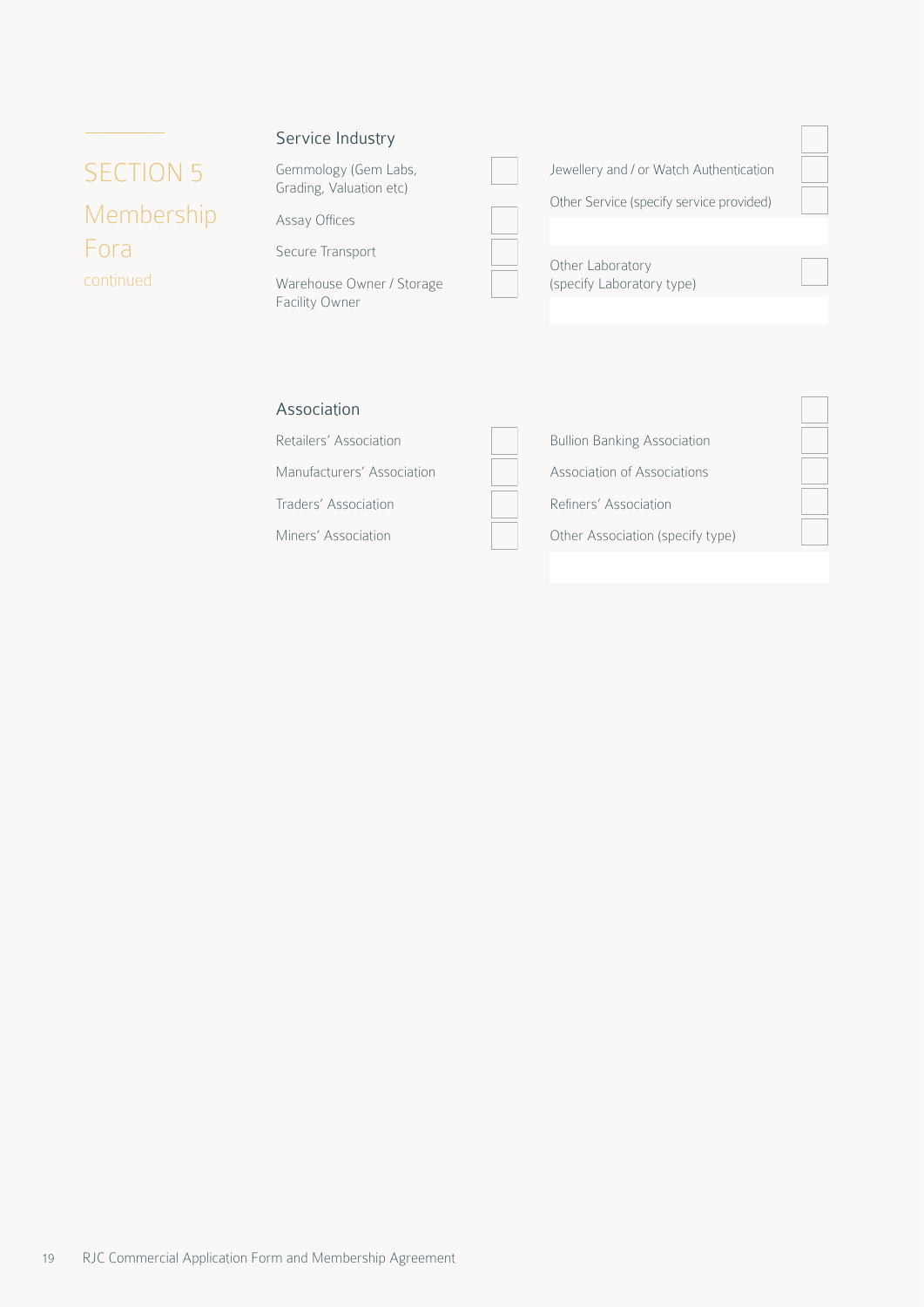# SECTION 5 Membership Fora continued

#### Service Industry

Gemmology (Gem Labs, Grading, Valuation etc)

Assay Offices

Secure Transport

Warehouse Owner / Storage Facility Owner

| Jewellery and / or Watch Authentication       |  |
|-----------------------------------------------|--|
| Other Service (specify service provided)      |  |
| Other Laboratory<br>(specify Laboratory type) |  |

#### Association

Retailers' Association Manufacturers' Association Traders' Association Miners' Association

| <b>Bullion Banking Association</b> |
|------------------------------------|
| Association of Associations        |
| Refiners' Association              |
| Other Association (specify type)   |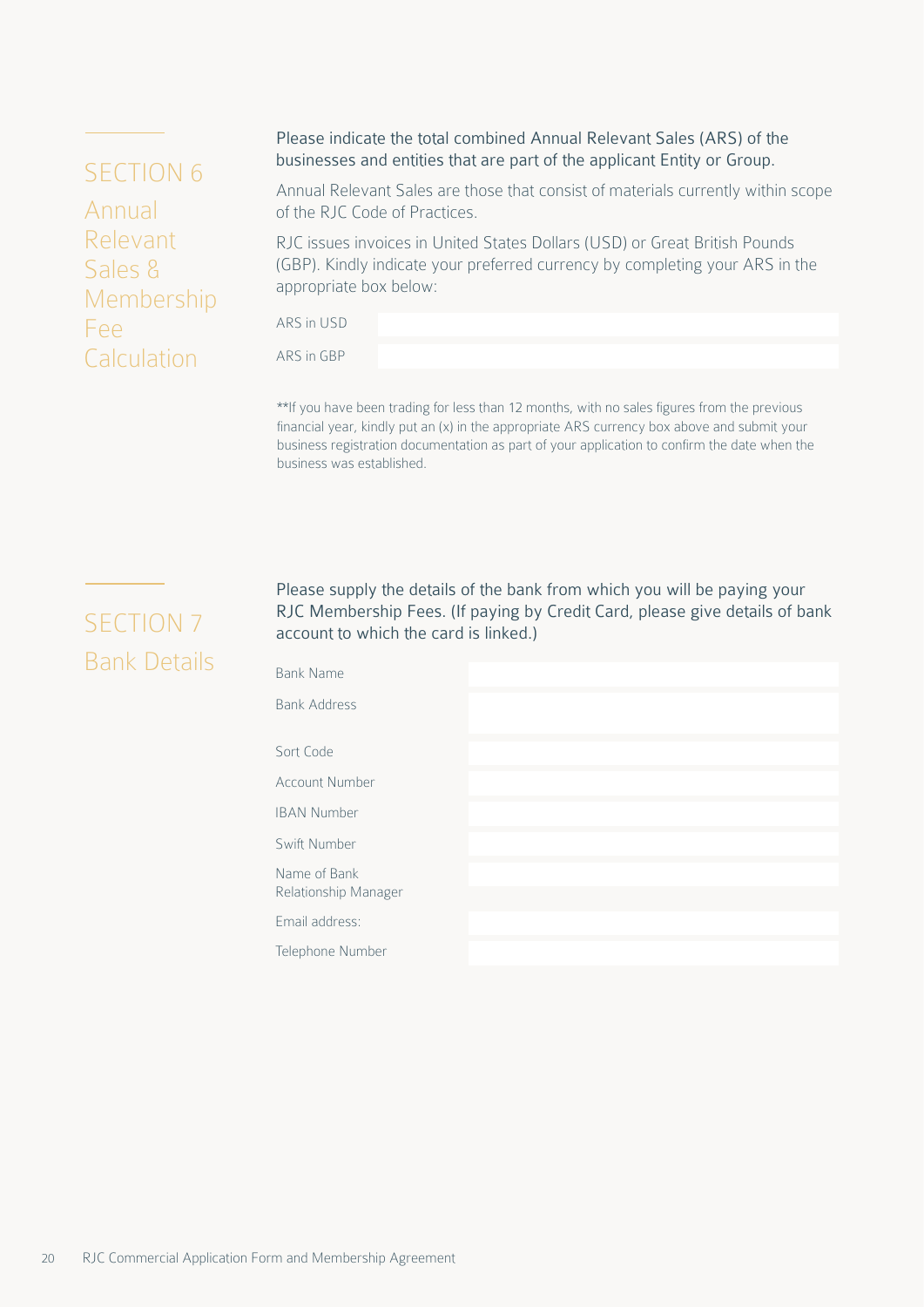## <span id="page-19-0"></span>SECTION 6

Annual Relevant Sales & Membership Fee **Calculation** 

#### Please indicate the total combined Annual Relevant Sales (ARS) of the businesses and entities that are part of the applicant Entity or Group.

Annual Relevant Sales are those that consist of materials currently within scope of the RJC Code of Practices.

RJC issues invoices in United States Dollars (USD) or Great British Pounds (GBP). Kindly indicate your preferred currency by completing your ARS in the appropriate box below:

ARS in USD

ARS in GBP

\*\*If you have been trading for less than 12 months, with no sales figures from the previous financial year, kindly put an (x) in the appropriate ARS currency box above and submit your business registration documentation as part of your application to confirm the date when the business was established.

# SECTION 7 Bank Details

Please supply the details of the bank from which you will be paying your RJC Membership Fees. (If paying by Credit Card, please give details of bank account to which the card is linked.)

| <b>Bank Name</b>                     |  |  |
|--------------------------------------|--|--|
| <b>Bank Address</b>                  |  |  |
| Sort Code                            |  |  |
| <b>Account Number</b>                |  |  |
| <b>IBAN Number</b>                   |  |  |
| Swift Number                         |  |  |
| Name of Bank<br>Relationship Manager |  |  |
| Email address:                       |  |  |
| Telephone Number                     |  |  |
|                                      |  |  |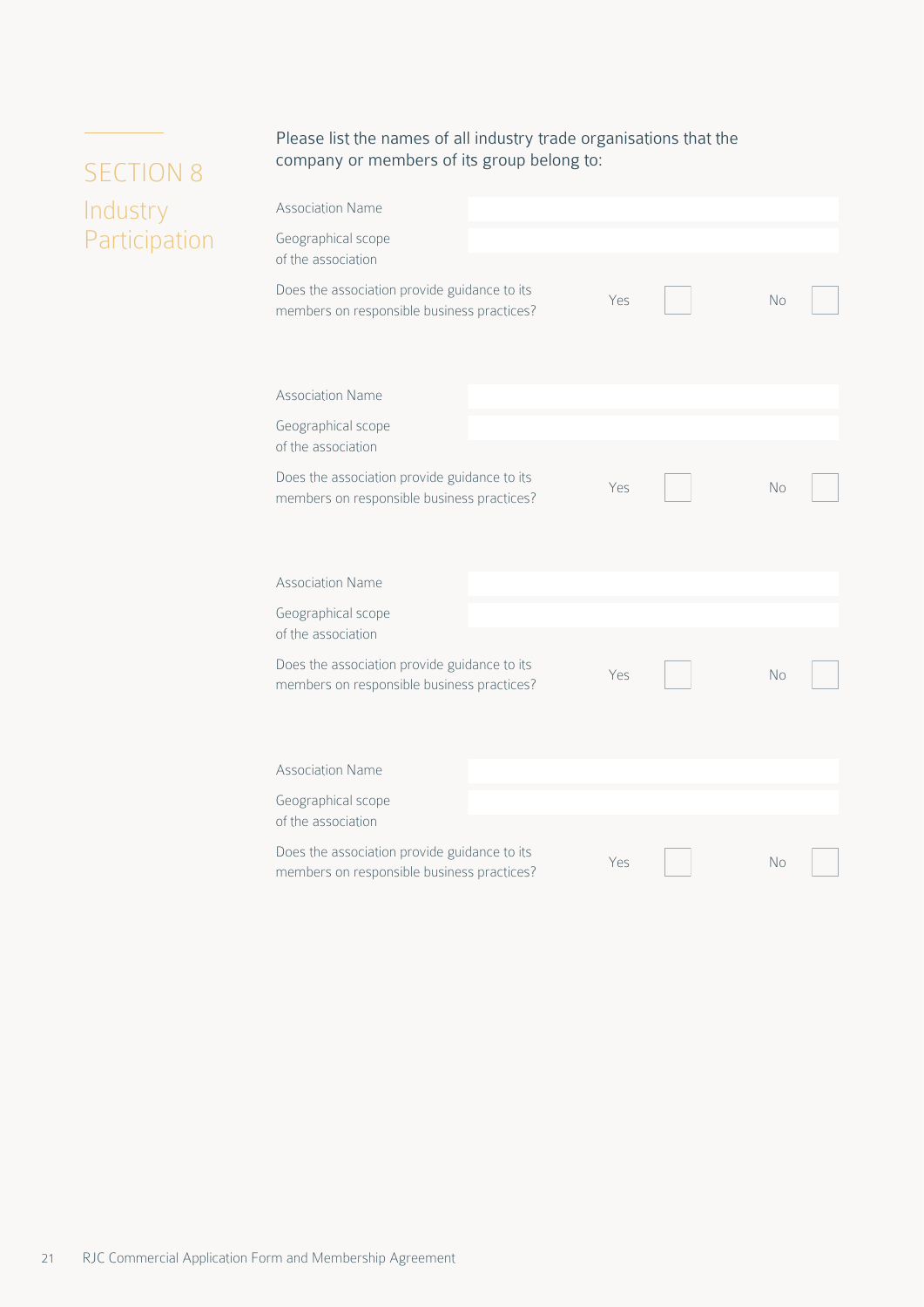Please list the names of all industry trade organisations that the company or members of its group belong to:

| <b>Association Name</b>                                                                    |     |           |  |
|--------------------------------------------------------------------------------------------|-----|-----------|--|
| Geographical scope<br>of the association                                                   |     |           |  |
| Does the association provide guidance to its<br>members on responsible business practices? | Yes | No        |  |
| <b>Association Name</b>                                                                    |     |           |  |
| Geographical scope<br>of the association                                                   |     |           |  |
| Does the association provide guidance to its<br>members on responsible business practices? | Yes | <b>No</b> |  |
| <b>Association Name</b>                                                                    |     |           |  |
| Geographical scope<br>of the association                                                   |     |           |  |
| Does the association provide guidance to its<br>members on responsible business practices? | Yes | <b>No</b> |  |
| <b>Association Name</b>                                                                    |     |           |  |
| Geographical scope<br>of the association                                                   |     |           |  |
| Does the association provide guidance to its<br>members on responsible business practices? | Yes | No        |  |

# <span id="page-20-0"></span>SECTION 8 Industry Participation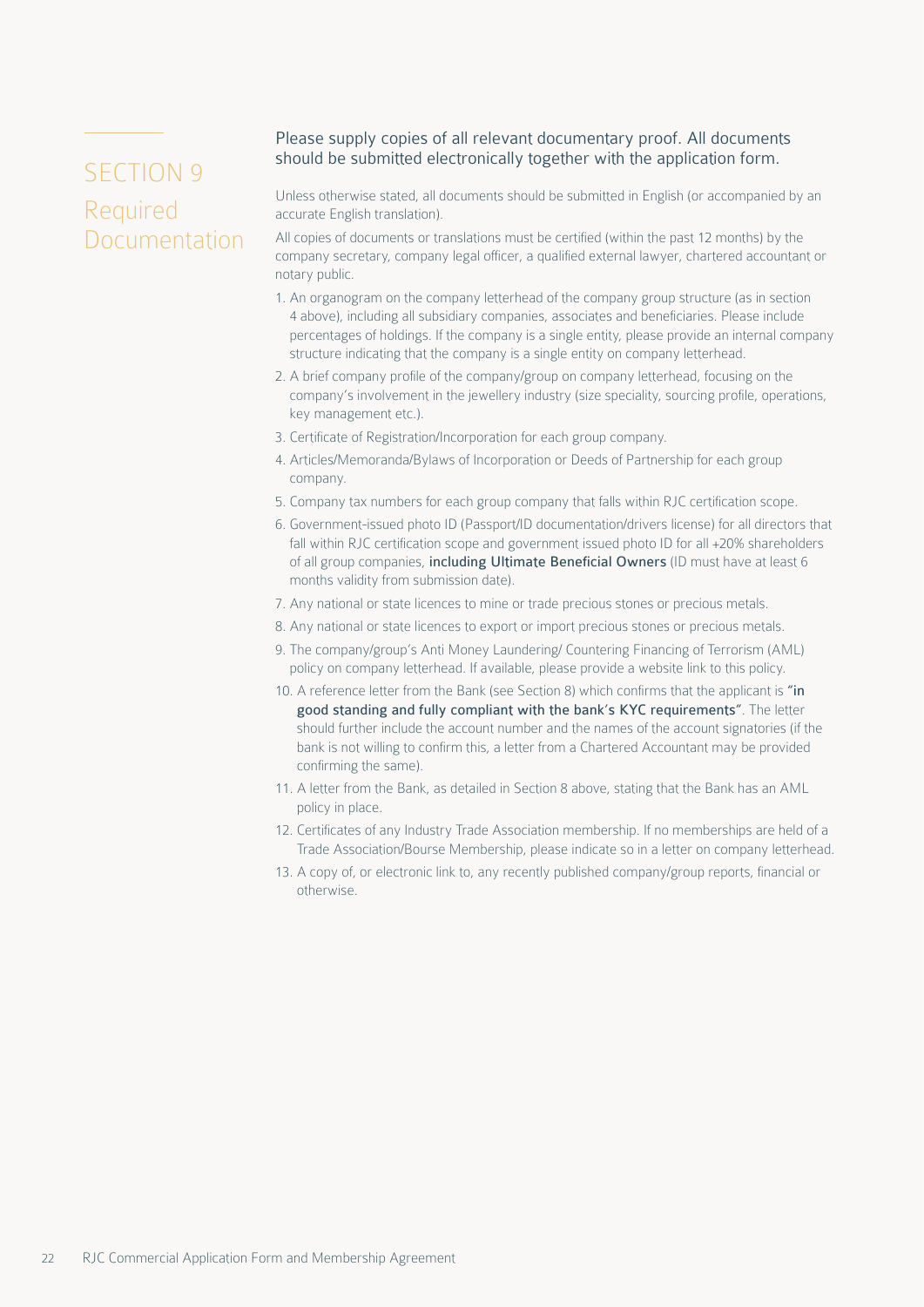# <span id="page-21-0"></span>SECTION 9 Required Documentation

#### Please supply copies of all relevant documentary proof. All documents should be submitted electronically together with the application form.

Unless otherwise stated, all documents should be submitted in English (or accompanied by an accurate English translation).

All copies of documents or translations must be certified (within the past 12 months) by the company secretary, company legal officer, a qualified external lawyer, chartered accountant or notary public.

- 1. An organogram on the company letterhead of the company group structure (as in section 4 above), including all subsidiary companies, associates and beneficiaries. Please include percentages of holdings. If the company is a single entity, please provide an internal company structure indicating that the company is a single entity on company letterhead.
- 2. A brief company profile of the company/group on company letterhead, focusing on the company's involvement in the jewellery industry (size speciality, sourcing profile, operations, key management etc.).
- 3. Certificate of Registration/Incorporation for each group company.
- 4. Articles/Memoranda/Bylaws of Incorporation or Deeds of Partnership for each group company.
- 5. Company tax numbers for each group company that falls within RJC certification scope.
- 6. Government-issued photo ID (Passport/ID documentation/drivers license) for all directors that fall within RJC certification scope and government issued photo ID for all +20% shareholders of all group companies, including Ultimate Beneficial Owners (ID must have at least 6 months validity from submission date).
- 7. Any national or state licences to mine or trade precious stones or precious metals.
- 8. Any national or state licences to export or import precious stones or precious metals.
- 9. The company/group's Anti Money Laundering/ Countering Financing of Terrorism (AML) policy on company letterhead. If available, please provide a website link to this policy.
- 10. A reference letter from the Bank (see Section 8) which confirms that the applicant is "in good standing and fully compliant with the bank's KYC requirements". The letter should further include the account number and the names of the account signatories (if the bank is not willing to confirm this, a letter from a Chartered Accountant may be provided confirming the same).
- 11. A letter from the Bank, as detailed in Section 8 above, stating that the Bank has an AML policy in place.
- 12. Certificates of any Industry Trade Association membership. If no memberships are held of a Trade Association/Bourse Membership, please indicate so in a letter on company letterhead.
- 13. A copy of, or electronic link to, any recently published company/group reports, financial or otherwise.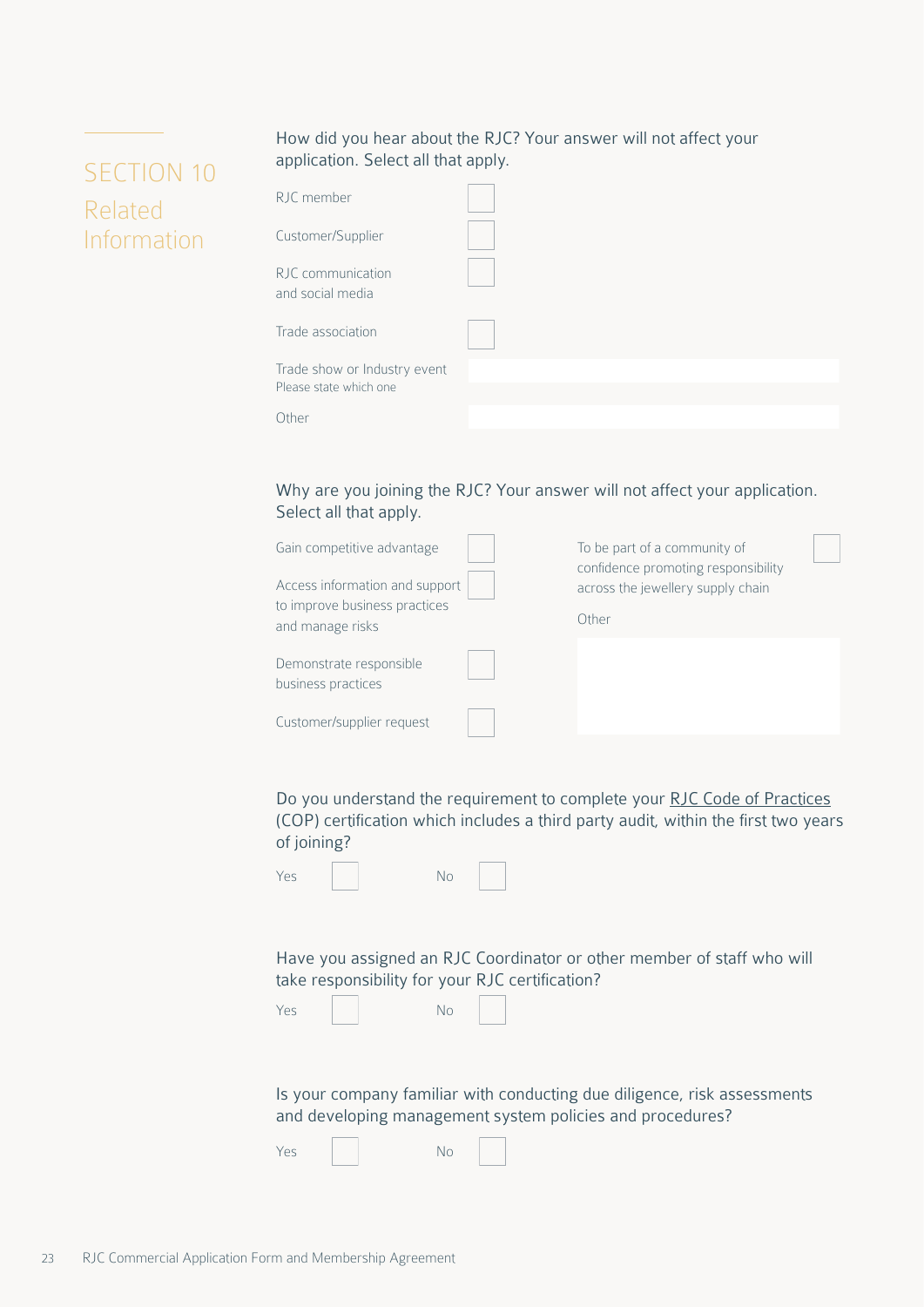#### How did you hear about the RJC? Your answer will not affect your application. Select all that apply.

| RJC member                                             |  |
|--------------------------------------------------------|--|
| Customer/Supplier                                      |  |
| RJC communication<br>and social media                  |  |
| Trade association                                      |  |
| Trade show or Industry event<br>Please state which one |  |
| Other                                                  |  |

Why are you joining the RJC? Your answer will not affect your application. Select all that apply.

| Gain competitive advantage<br>Access information and support<br>to improve business practices<br>and manage risks | To be part of a community of<br>confidence promoting responsibility<br>across the jewellery supply chain<br>Other |
|-------------------------------------------------------------------------------------------------------------------|-------------------------------------------------------------------------------------------------------------------|
| Demonstrate responsible<br>business practices                                                                     |                                                                                                                   |
| Customer/supplier request                                                                                         |                                                                                                                   |

Do you understand the requirement to complete your [RJC Code of Practices](https://www.responsiblejewellery.com/standards/code-of-practices-2019/) (COP) certification which includes a third party audit, within the first two years of joining?

| Yes |  | No |  |
|-----|--|----|--|
|-----|--|----|--|

Have you assigned an RJC Coordinator or other member of staff who will take responsibility for your RJC certification?

| Yes |  | No |
|-----|--|----|
|-----|--|----|

Is your company familiar with conducting due diligence, risk assessments and developing management system policies and procedures?

Yes No

<span id="page-22-0"></span>SECTION 10

Information

Related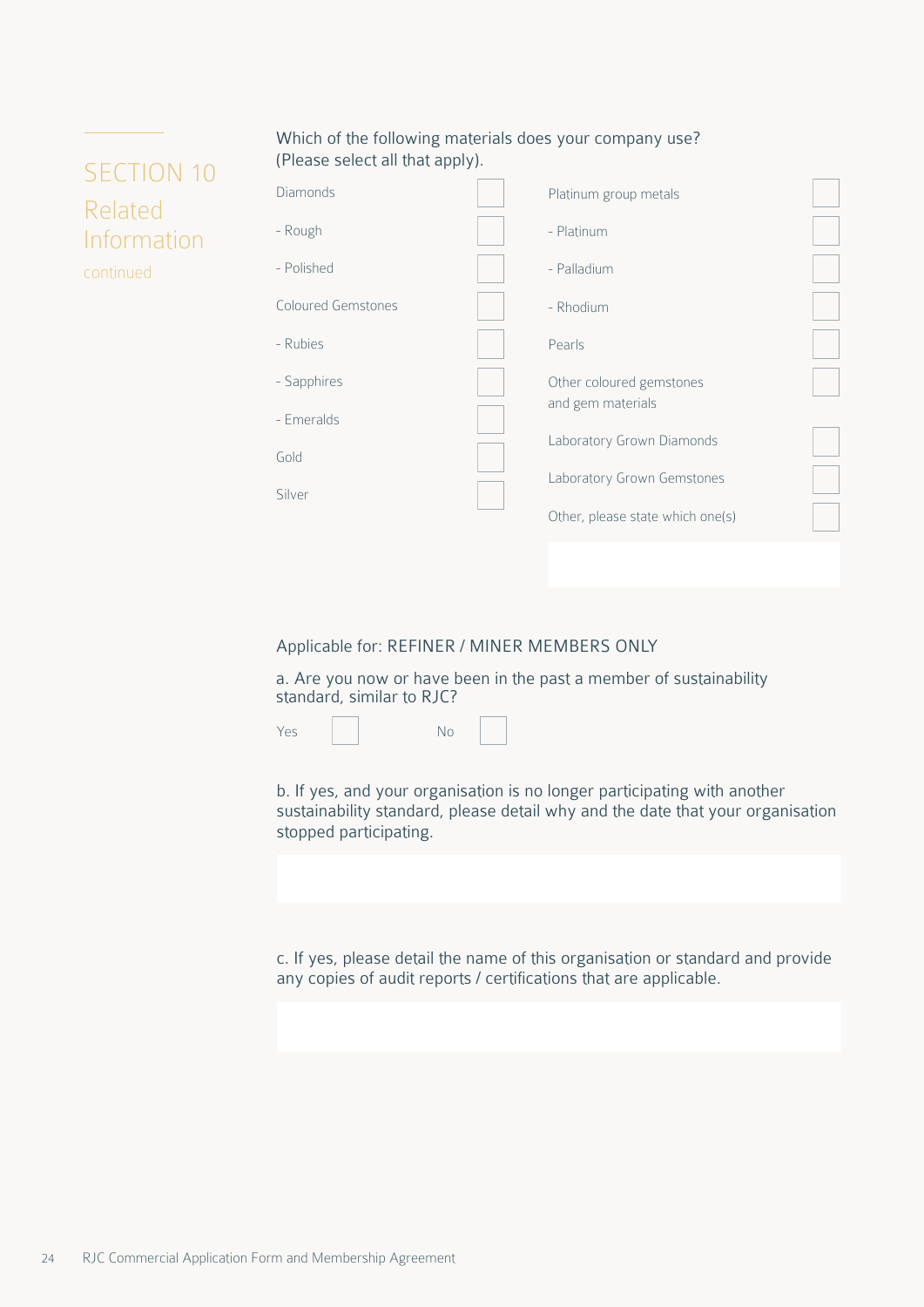#### Which of the following materials does your company use? (Please select all that apply).

## SECTION 10 Related Information continued

| Diamonds                  | Platinum group metals            |  |
|---------------------------|----------------------------------|--|
| - Rough                   | - Platinum                       |  |
| - Polished                | - Palladium                      |  |
| <b>Coloured Gemstones</b> | - Rhodium                        |  |
| - Rubies                  | Pearls                           |  |
| - Sapphires               | Other coloured gemstones         |  |
| - Emeralds                | and gem materials                |  |
| Gold                      | Laboratory Grown Diamonds        |  |
| Silver                    | Laboratory Grown Gemstones       |  |
|                           | Other, please state which one(s) |  |
|                           |                                  |  |

#### Applicable for: REFINER / MINER MEMBERS ONLY

a. Are you now or have been in the past a member of sustainability standard, similar to RJC?



b. If yes, and your organisation is no longer participating with another sustainability standard, please detail why and the date that your organisation stopped participating.

c. If yes, please detail the name of this organisation or standard and provide any copies of audit reports / certifications that are applicable.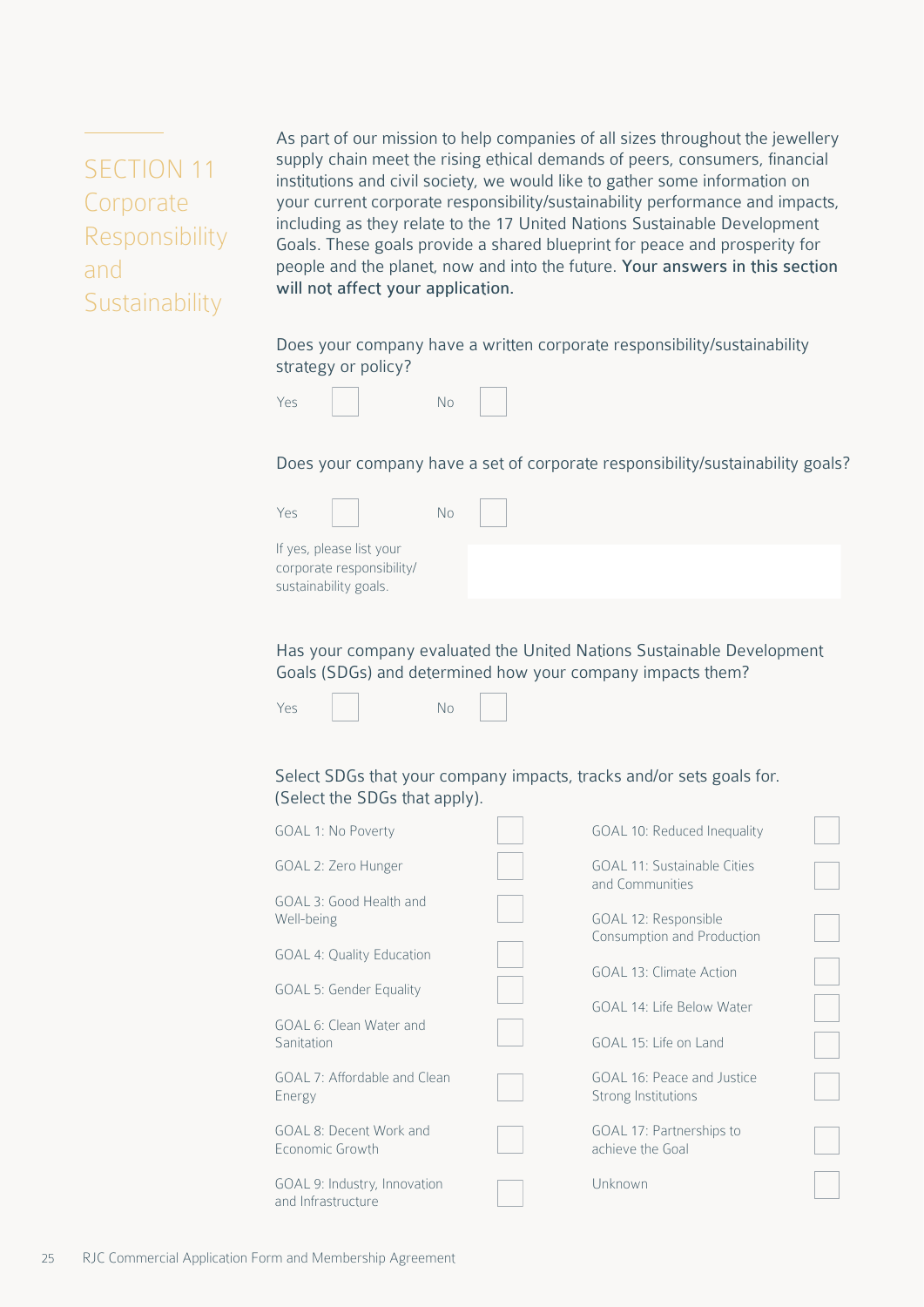<span id="page-24-0"></span>SECTION 11 Corporate Responsibility and **Sustainability** 

As part of our mission to help companies of all sizes throughout the jewellery supply chain meet the rising ethical demands of peers, consumers, financial institutions and civil society, we would like to gather some information on your current corporate responsibility/sustainability performance and impacts, including as they relate to the 17 United Nations Sustainable Development Goals. These goals provide a shared blueprint for peace and prosperity for people and the planet, now and into the future. Your answers in this section will not affect your application.

Does your company have a written corporate responsibility/sustainability strategy or policy?



Does your company have a set of corporate responsibility/sustainability goals?

| Yes                                                                            | No |  |
|--------------------------------------------------------------------------------|----|--|
| If yes, please list your<br>corporate responsibility/<br>sustainability goals. |    |  |

Has your company evaluated the United Nations Sustainable Development Goals (SDGs) and determined how your company impacts them?



#### Select SDGs that your company impacts, tracks and/or sets goals for. (Select the SDGs that apply).

| <b>GOAL 1: No Poverty</b>                          | GOAL 10: Reduced Inequality                           |  |
|----------------------------------------------------|-------------------------------------------------------|--|
| GOAL 2: Zero Hunger                                | <b>GOAL 11: Sustainable Cities</b><br>and Communities |  |
| GOAL 3: Good Health and<br>Well-being              | GOAL 12: Responsible                                  |  |
| <b>GOAL 4: Quality Education</b>                   | Consumption and Production<br>GOAL 13: Climate Action |  |
| <b>GOAL 5: Gender Equality</b>                     | GOAL 14: Life Below Water                             |  |
| GOAL 6: Clean Water and<br>Sanitation              | GOAL 15: Life on Land                                 |  |
| GOAL 7: Affordable and Clean<br>Energy             | GOAL 16: Peace and Justice<br>Strong Institutions     |  |
| GOAL 8: Decent Work and<br>Economic Growth         | GOAL 17: Partnerships to<br>achieve the Goal          |  |
| GOAL 9: Industry, Innovation<br>and Infrastructure | Unknown                                               |  |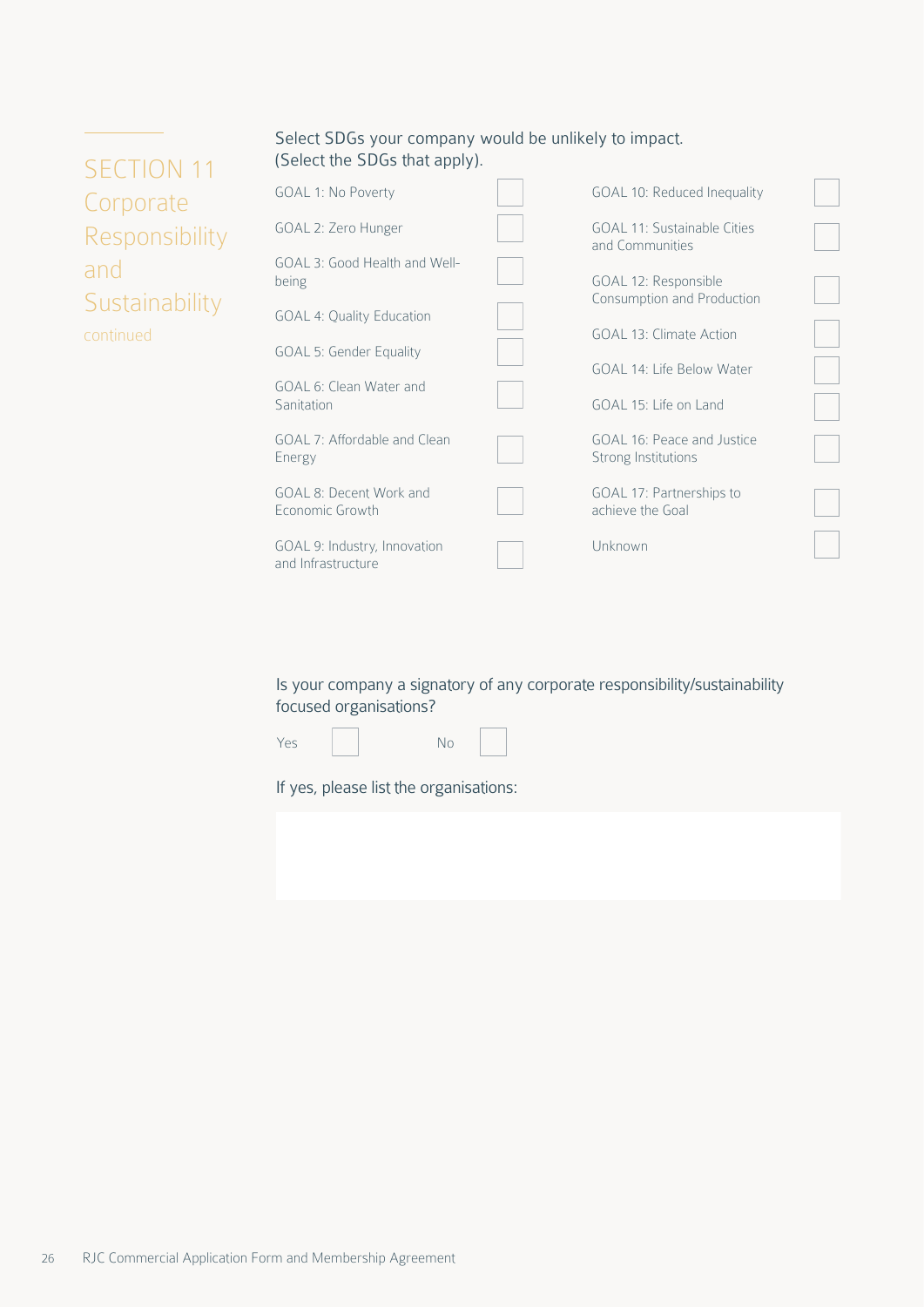| Select SDGs your company would be unlikely to impact. |  |
|-------------------------------------------------------|--|
| (Select the SDGs that apply).                         |  |

| <b>SECTION 11</b> |
|-------------------|
| Corporate         |
| Responsibility    |
| and               |
| Sustainability    |
| continued         |

| <b>GOAL 1: No Poverty</b>                          | GOAL 10: Reduced Inequality                        |  |
|----------------------------------------------------|----------------------------------------------------|--|
| GOAL 2: Zero Hunger                                | GOAL 11: Sustainable Cities<br>and Communities     |  |
| GOAL 3: Good Health and Well-<br>being             | GOAL 12: Responsible<br>Consumption and Production |  |
| <b>GOAL 4: Quality Education</b>                   |                                                    |  |
| <b>GOAL 5: Gender Equality</b>                     | GOAL 13: Climate Action                            |  |
| GOAL 6: Clean Water and                            | GOAL 14: Life Below Water                          |  |
| Sanitation                                         | GOAL 15: Life on Land                              |  |
| GOAL 7: Affordable and Clean<br>Energy             | GOAL 16: Peace and Justice<br>Strong Institutions  |  |
| GOAL 8: Decent Work and<br>Economic Growth         | GOAL 17: Partnerships to<br>achieve the Goal       |  |
| GOAL 9: Industry, Innovation<br>and Infrastructure | Unknown                                            |  |

Is your company a signatory of any corporate responsibility/sustainability focused organisations?

| Yes |  |
|-----|--|

No

If yes, please list the organisations: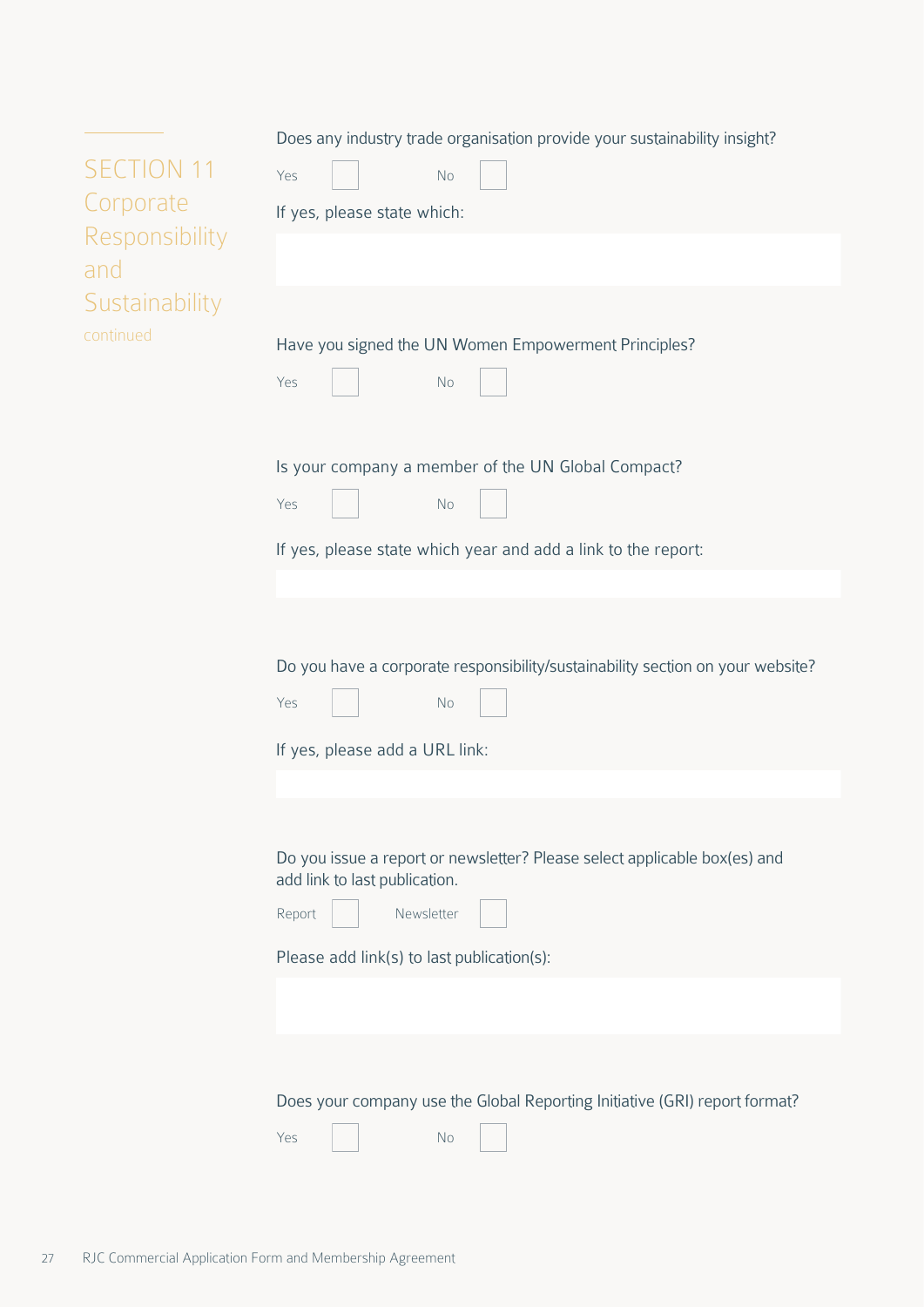| <b>SECTION 11</b><br>Corporate | Does any industry trade organisation provide your sustainability insight?<br>Yes<br>No<br>If yes, please state which:                                                            |
|--------------------------------|----------------------------------------------------------------------------------------------------------------------------------------------------------------------------------|
| Responsibility<br>and          |                                                                                                                                                                                  |
| Sustainability<br>continued    | Have you signed the UN Women Empowerment Principles?<br>Yes<br>No                                                                                                                |
|                                | Is your company a member of the UN Global Compact?<br>Yes<br>No                                                                                                                  |
|                                | If yes, please state which year and add a link to the report:                                                                                                                    |
|                                | Do you have a corporate responsibility/sustainability section on your website?<br>Yes<br><b>No</b><br>If yes, please add a URL link:                                             |
|                                | Do you issue a report or newsletter? Please select applicable box(es) and<br>add link to last publication.<br>Report<br>Newsletter<br>Please add link(s) to last publication(s): |
|                                |                                                                                                                                                                                  |
|                                | Does your company use the Global Reporting Initiative (GRI) report format?<br>Yes<br>No                                                                                          |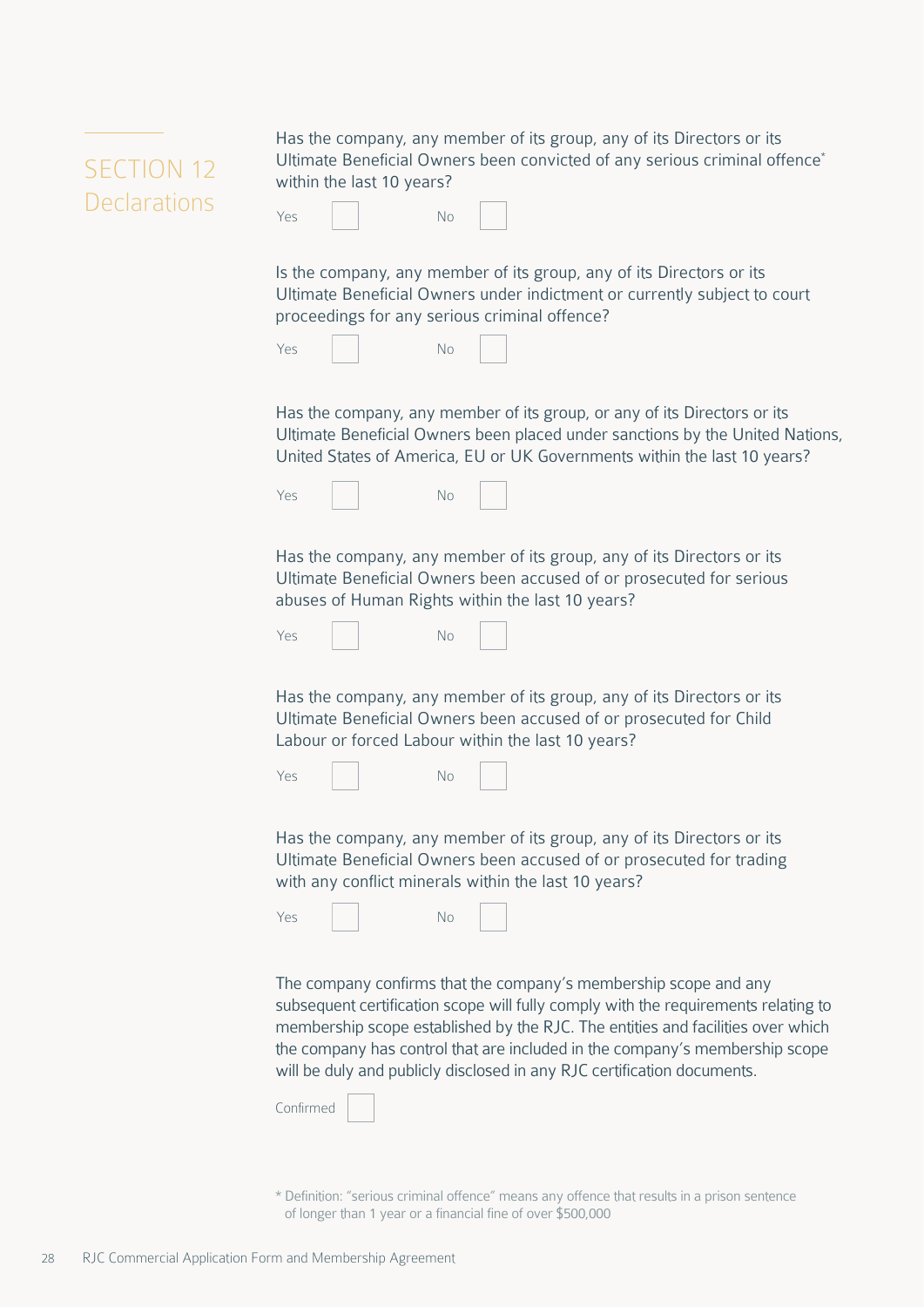<span id="page-27-0"></span>

| SECTION 12          |
|---------------------|
| <b>Declarations</b> |

Has the company, any member of its group, any of its Directors or its Ultimate Beneficial Owners been convicted of any serious criminal offence\* within the last 10 years?

| Yes |  | No |  |  |
|-----|--|----|--|--|
|-----|--|----|--|--|

Is the company, any member of its group, any of its Directors or its Ultimate Beneficial Owners under indictment or currently subject to court proceedings for any serious criminal offence?

Has the company, any member of its group, or any of its Directors or its Ultimate Beneficial Owners been placed under sanctions by the United Nations, United States of America, EU or UK Governments within the last 10 years?

| Yes |  | No |  |  |
|-----|--|----|--|--|
|-----|--|----|--|--|

Has the company, any member of its group, any of its Directors or its Ultimate Beneficial Owners been accused of or prosecuted for serious abuses of Human Rights within the last 10 years?



Has the company, any member of its group, any of its Directors or its Ultimate Beneficial Owners been accused of or prosecuted for Child Labour or forced Labour within the last 10 years?

| Yes | No |  |
|-----|----|--|
|     |    |  |

Has the company, any member of its group, any of its Directors or its Ultimate Beneficial Owners been accused of or prosecuted for trading with any conflict minerals within the last 10 years?

Yes No

The company confirms that the company's membership scope and any subsequent certification scope will fully comply with the requirements relating to membership scope established by the RJC. The entities and facilities over which the company has control that are included in the company's membership scope will be duly and publicly disclosed in any RJC certification documents.

| Confirmed |  |
|-----------|--|
|-----------|--|

\* Definition: "serious criminal offence" means any offence that results in a prison sentence of longer than 1 year or a financial fine of over \$500,000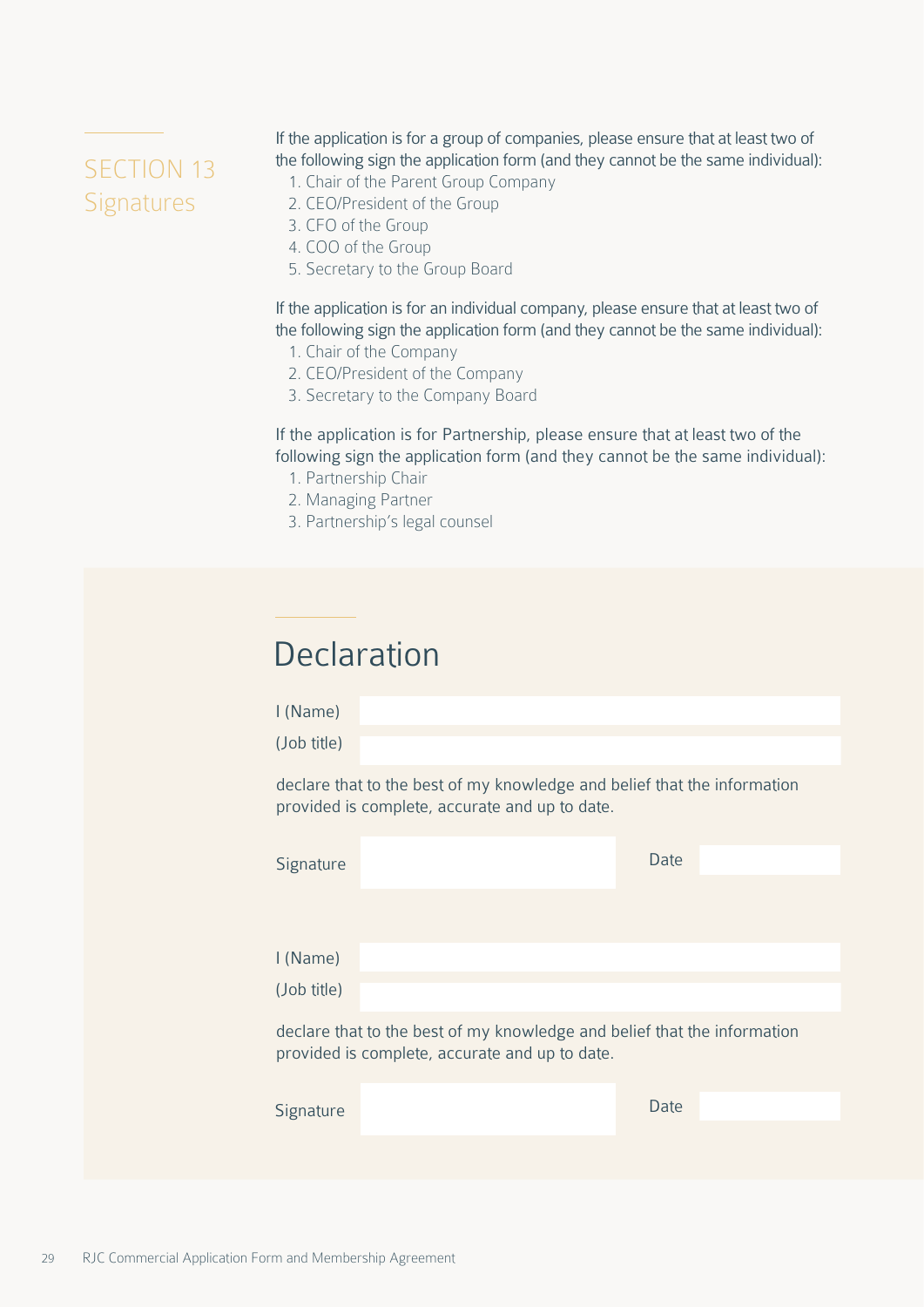# <span id="page-28-0"></span>SECTION 13 **Signatures**

If the application is for a group of companies, please ensure that at least two of the following sign the application form (and they cannot be the same individual):

- 1. Chair of the Parent Group Company
- 2. CEO/President of the Group
- 3. CFO of the Group
- 4. COO of the Group
- 5. Secretary to the Group Board

If the application is for an individual company, please ensure that at least two of the following sign the application form (and they cannot be the same individual):

- 1. Chair of the Company
- 2. CEO/President of the Company
- 3. Secretary to the Company Board

If the application is for Partnership, please ensure that at least two of the following sign the application form (and they cannot be the same individual):

- 1. Partnership Chair
- 2. Managing Partner
- 3. Partnership's legal counsel

# **Declaration**

I (Name) (Job title)

declare that to the best of my knowledge and belief that the information provided is complete, accurate and up to date.

| Signature                                                                                                                  |  | Date |  |  |  |
|----------------------------------------------------------------------------------------------------------------------------|--|------|--|--|--|
|                                                                                                                            |  |      |  |  |  |
|                                                                                                                            |  |      |  |  |  |
| I (Name)                                                                                                                   |  |      |  |  |  |
| (Job title)                                                                                                                |  |      |  |  |  |
| declare that to the best of my knowledge and belief that the information<br>provided is complete, accurate and up to date. |  |      |  |  |  |
| Signature                                                                                                                  |  | Date |  |  |  |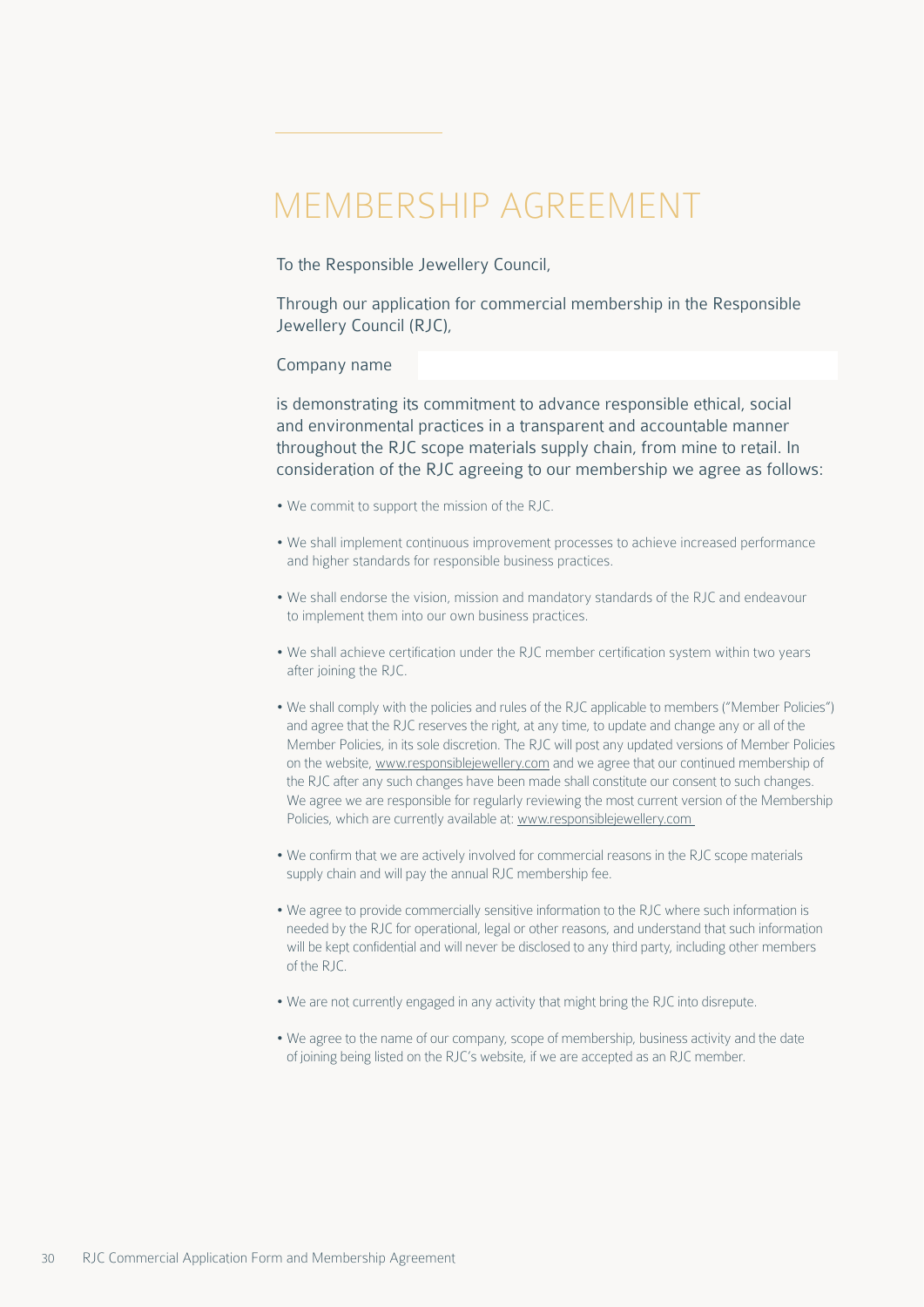# <span id="page-29-0"></span>MEMBERSHIP AGREEMENT

To the Responsible Jewellery Council,

Through our application for commercial membership in the Responsible Jewellery Council (RJC),

#### Company name

is demonstrating its commitment to advance responsible ethical, social and environmental practices in a transparent and accountable manner throughout the RJC scope materials supply chain, from mine to retail. In consideration of the RJC agreeing to our membership we agree as follows:

- We commit to support the mission of the RJC.
- We shall implement continuous improvement processes to achieve increased performance and higher standards for responsible business practices.
- We shall endorse the vision, mission and mandatory standards of the RJC and endeavour to implement them into our own business practices.
- We shall achieve certification under the RJC member certification system within two years after joining the RJC.
- We shall comply with the policies and rules of the RJC applicable to members ("Member Policies") and agree that the RJC reserves the right, at any time, to update and change any or all of the Member Policies, in its sole discretion. The RJC will post any updated versions of Member Policies on the website, [www.responsiblejewellery.com](http://www.responsiblejewellery.com) and we agree that our continued membership of the RJC after any such changes have been made shall constitute our consent to such changes. We agree we are responsible for regularly reviewing the most current version of the Membership Policies, which are currently available at: www.responsiblejewellery.com
- We confirm that we are actively involved for commercial reasons in the RJC scope materials supply chain and will pay the annual RJC membership fee.
- We agree to provide commercially sensitive information to the RJC where such information is needed by the RJC for operational, legal or other reasons, and understand that such information will be kept confidential and will never be disclosed to any third party, including other members of the RJC.
- We are not currently engaged in any activity that might bring the RJC into disrepute.
- We agree to the name of our company, scope of membership, business activity and the date of joining being listed on the RJC's website, if we are accepted as an RJC member.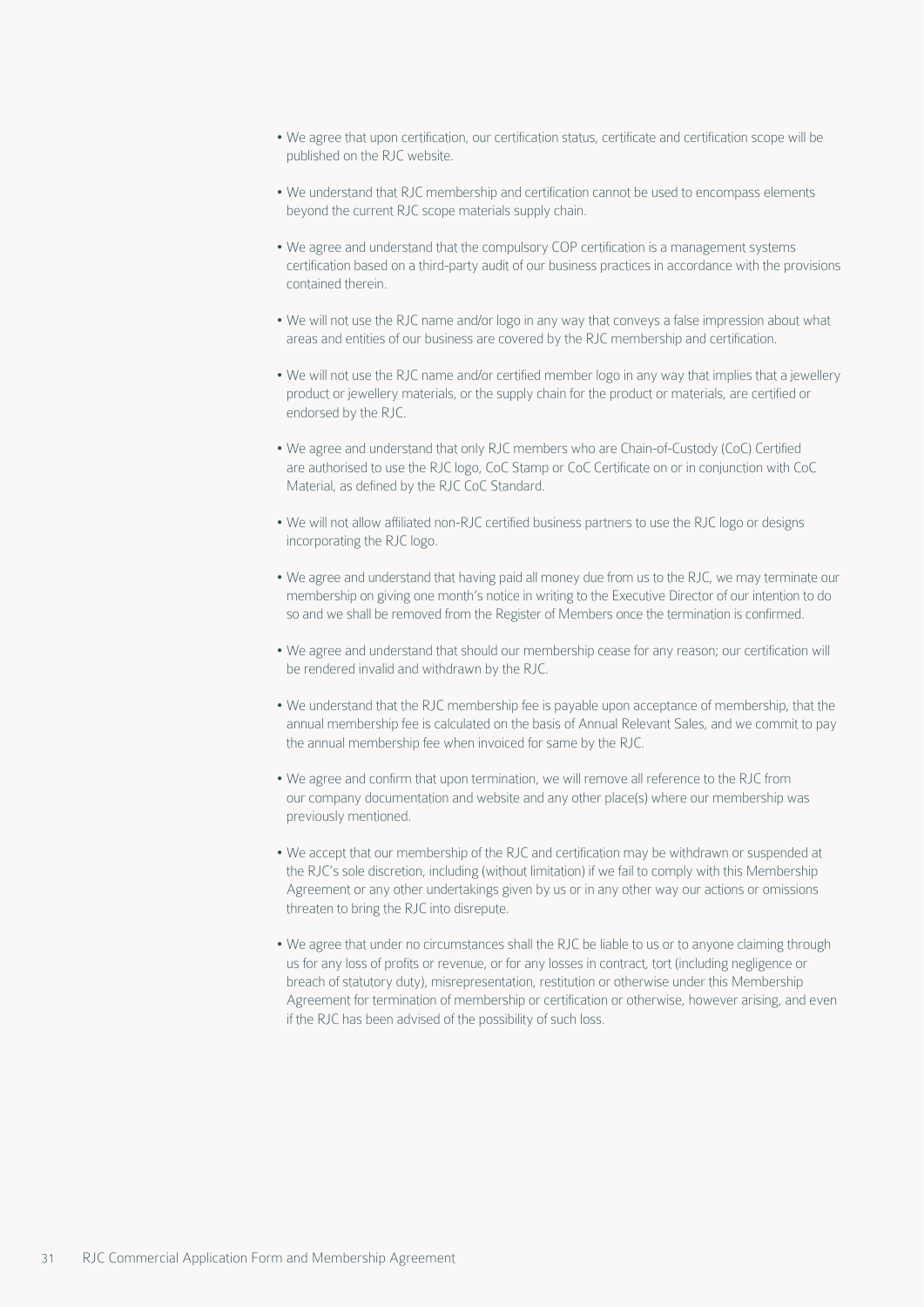- We agree that upon certification, our certification status, certificate and certification scope will be published on the RJC website.
- We understand that RJC membership and certification cannot be used to encompass elements beyond the current RJC scope materials supply chain.
- We agree and understand that the compulsory COP certification is a management systems certification based on a third-party audit of our business practices in accordance with the provisions contained therein.
- We will not use the RJC name and/or logo in any way that conveys a false impression about what areas and entities of our business are covered by the RJC membership and certification.
- We will not use the RJC name and/or certified member logo in any way that implies that a jewellery product or jewellery materials, or the supply chain for the product or materials, are certified or endorsed by the RJC.
- We agree and understand that only RJC members who are Chain-of-Custody (CoC) Certified are authorised to use the RJC logo, CoC Stamp or CoC Certificate on or in conjunction with CoC Material, as defined by the RJC CoC Standard.
- We will not allow affiliated non-RJC certified business partners to use the RJC logo or designs incorporating the RJC logo.
- We agree and understand that having paid all money due from us to the RJC, we may terminate our membership on giving one month's notice in writing to the Executive Director of our intention to do so and we shall be removed from the Register of Members once the termination is confirmed.
- We agree and understand that should our membership cease for any reason; our certification will be rendered invalid and withdrawn by the RJC.
- We understand that the RJC membership fee is payable upon acceptance of membership, that the annual membership fee is calculated on the basis of Annual Relevant Sales, and we commit to pay the annual membership fee when invoiced for same by the RJC.
- We agree and confirm that upon termination, we will remove all reference to the RJC from our company documentation and website and any other place(s) where our membership was previously mentioned.
- We accept that our membership of the RJC and certification may be withdrawn or suspended at the RJC's sole discretion, including (without limitation) if we fail to comply with this Membership Agreement or any other undertakings given by us or in any other way our actions or omissions threaten to bring the RJC into disrepute.
- We agree that under no circumstances shall the RJC be liable to us or to anyone claiming through us for any loss of profits or revenue, or for any losses in contract, tort (including negligence or breach of statutory duty), misrepresentation, restitution or otherwise under this Membership Agreement for termination of membership or certification or otherwise, however arising, and even if the RJC has been advised of the possibility of such loss.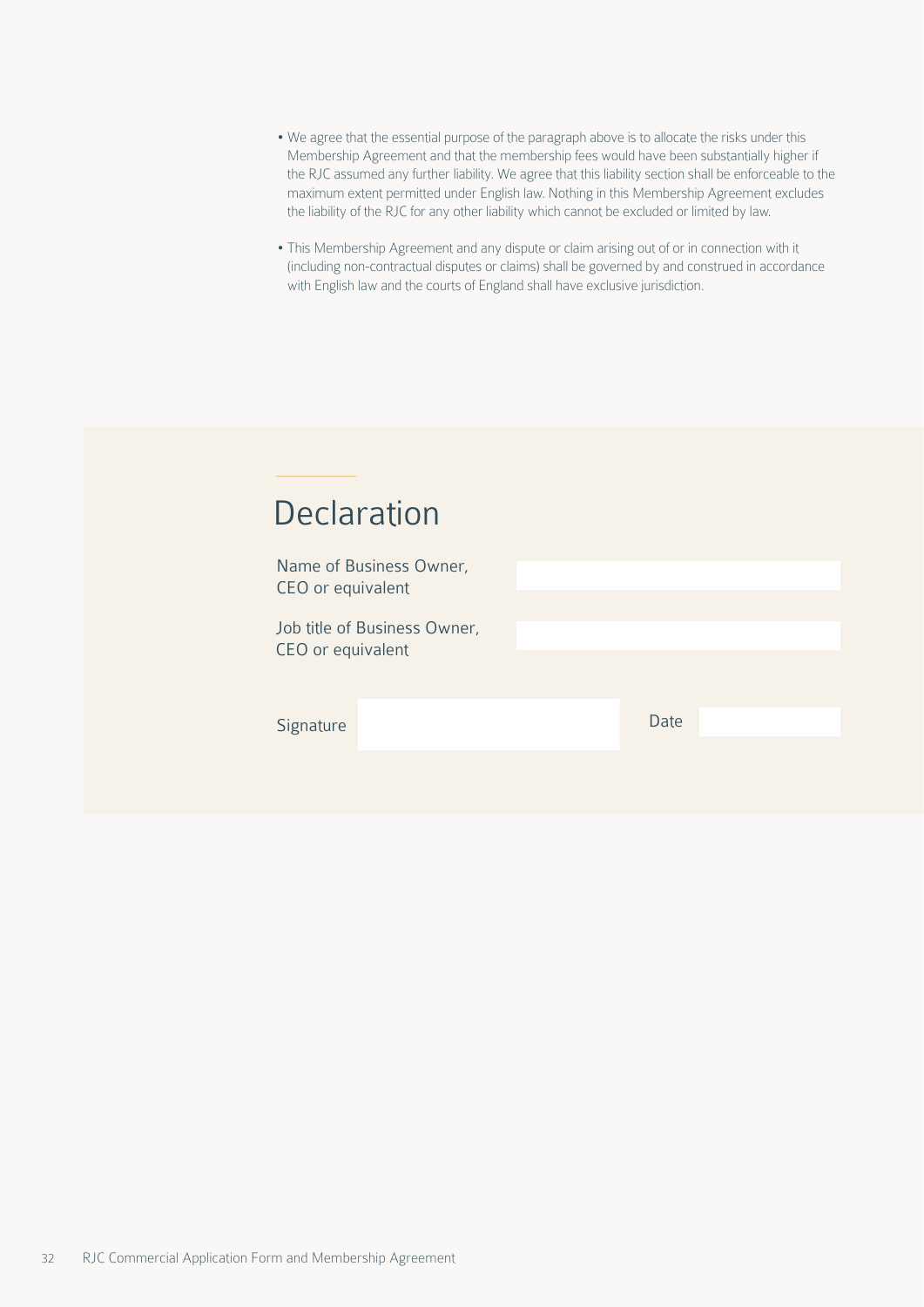- We agree that the essential purpose of the paragraph above is to allocate the risks under this Membership Agreement and that the membership fees would have been substantially higher if the RJC assumed any further liability. We agree that this liability section shall be enforceable to the maximum extent permitted under English law. Nothing in this Membership Agreement excludes the liability of the RJC for any other liability which cannot be excluded or limited by law.
- This Membership Agreement and any dispute or claim arising out of or in connection with it (including non-contractual disputes or claims) shall be governed by and construed in accordance with English law and the courts of England shall have exclusive jurisdiction.

| <b>Declaration</b>                                |      |  |
|---------------------------------------------------|------|--|
| Name of Business Owner,<br>CEO or equivalent      |      |  |
| Job title of Business Owner,<br>CEO or equivalent |      |  |
| Signature                                         | Date |  |
|                                                   |      |  |